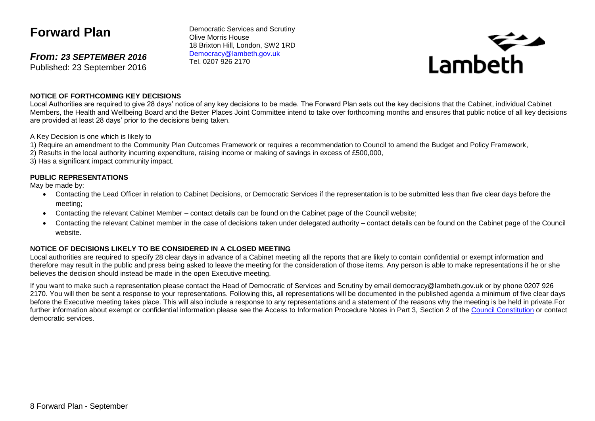# **Forward Plan**

*From: 23 SEPTEMBER 2016* Published: 23 September 2016

Democratic Services and Scrutiny Olive Morris House 18 Brixton Hill, London, SW2 1RD [Democracy@lambeth.gov.uk](mailto:Democracy@lambeth.gov.uk) Tel. 0207 926 2170



#### **NOTICE OF FORTHCOMING KEY DECISIONS**

Local Authorities are required to give 28 days' notice of any key decisions to be made. The Forward Plan sets out the key decisions that the Cabinet, individual Cabinet Members, the Health and Wellbeing Board and the Better Places Joint Committee intend to take over forthcoming months and ensures that public notice of all key decisions are provided at least 28 days' prior to the decisions being taken.

A Key Decision is one which is likely to

- 1) Require an amendment to the Community Plan Outcomes Framework or requires a recommendation to Council to amend the Budget and Policy Framework,
- 2) Results in the local authority incurring expenditure, raising income or making of savings in excess of £500,000,
- 3) Has a significant impact community impact.

#### **PUBLIC REPRESENTATIONS**

May be made by:

- Contacting the Lead Officer in relation to Cabinet Decisions, or Democratic Services if the representation is to be submitted less than five clear days before the meeting;
- Contacting the relevant Cabinet Member contact details can be found on the Cabinet page of the Council website;
- Contacting the relevant Cabinet member in the case of decisions taken under delegated authority contact details can be found on the Cabinet page of the Council website.

#### **NOTICE OF DECISIONS LIKELY TO BE CONSIDERED IN A CLOSED MEETING**

Local authorities are required to specify 28 clear days in advance of a Cabinet meeting all the reports that are likely to contain confidential or exempt information and therefore may result in the public and press being asked to leave the meeting for the consideration of those items. Any person is able to make representations if he or she believes the decision should instead be made in the open Executive meeting.

If you want to make such a representation please contact the Head of Democratic of Services and Scrutiny by email democracy@lambeth.gov.uk or by phone 0207 926 2170. You will then be sent a response to your representations. Following this, all representations will be documented in the published agenda a minimum of five clear days before the Executive meeting takes place. This will also include a response to any representations and a statement of the reasons why the meeting is be held in private.For further information about exempt or confidential information please see the Access to Information Procedure Notes in Part 3, Section 2 of the [Council Constitution](http://www.lambeth.gov.uk/sites/default/files/ec-Council-Constitution-2014-15-approved-with-changes-November-2014.pdf) or contact democratic services.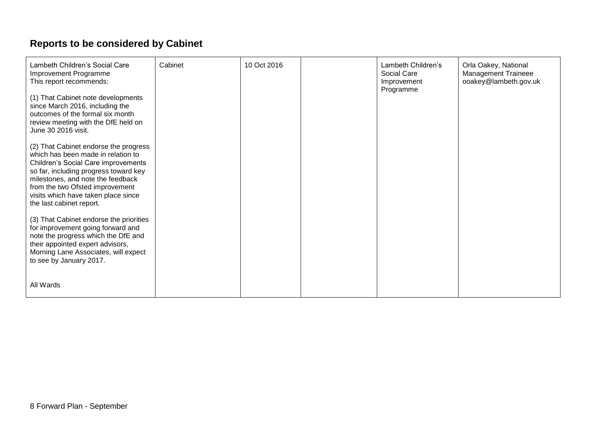# **Reports to be considered by Cabinet**

| Lambeth Children's Social Care<br>Improvement Programme<br>This report recommends:                                                                                                                                                                                                                     | Cabinet | 10 Oct 2016 | Lambeth Children's<br>Social Care<br>Improvement<br>Programme | Orla Oakey, National<br><b>Management Traineee</b><br>ooakey@lambeth.gov.uk |
|--------------------------------------------------------------------------------------------------------------------------------------------------------------------------------------------------------------------------------------------------------------------------------------------------------|---------|-------------|---------------------------------------------------------------|-----------------------------------------------------------------------------|
| (1) That Cabinet note developments<br>since March 2016, including the<br>outcomes of the formal six month<br>review meeting with the DfE held on<br>June 30 2016 visit.                                                                                                                                |         |             |                                                               |                                                                             |
| (2) That Cabinet endorse the progress<br>which has been made in relation to<br>Children's Social Care improvements<br>so far, including progress toward key<br>milestones, and note the feedback<br>from the two Ofsted improvement<br>visits which have taken place since<br>the last cabinet report. |         |             |                                                               |                                                                             |
| (3) That Cabinet endorse the priorities<br>for improvement going forward and<br>note the progress which the DfE and<br>their appointed expert advisors,<br>Morning Lane Associates, will expect<br>to see by January 2017.                                                                             |         |             |                                                               |                                                                             |
| All Wards                                                                                                                                                                                                                                                                                              |         |             |                                                               |                                                                             |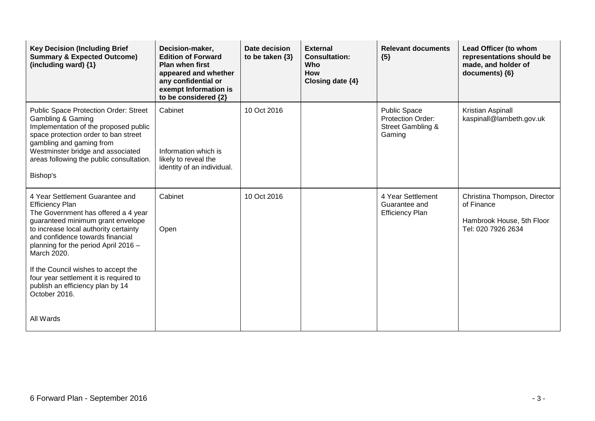| <b>Key Decision (Including Brief</b><br><b>Summary &amp; Expected Outcome)</b><br>(including ward) {1}                                                                                                                                                                                                           | Decision-maker,<br><b>Edition of Forward</b><br><b>Plan when first</b><br>appeared and whether<br>any confidential or<br>exempt Information is<br>to be considered {2} | Date decision<br>to be taken $\{3\}$ | <b>External</b><br><b>Consultation:</b><br>Who<br><b>How</b><br>Closing date {4} | <b>Relevant documents</b><br>${5}$                                                 | Lead Officer (to whom<br>representations should be<br>made, and holder of<br>documents) {6}   |
|------------------------------------------------------------------------------------------------------------------------------------------------------------------------------------------------------------------------------------------------------------------------------------------------------------------|------------------------------------------------------------------------------------------------------------------------------------------------------------------------|--------------------------------------|----------------------------------------------------------------------------------|------------------------------------------------------------------------------------|-----------------------------------------------------------------------------------------------|
| Public Space Protection Order: Street<br>Gambling & Gaming<br>Implementation of the proposed public<br>space protection order to ban street<br>gambling and gaming from<br>Westminster bridge and associated<br>areas following the public consultation.<br>Bishop's                                             | Cabinet<br>Information which is<br>likely to reveal the<br>identity of an individual.                                                                                  | 10 Oct 2016                          |                                                                                  | <b>Public Space</b><br>Protection Order:<br><b>Street Gambling &amp;</b><br>Gaming | Kristian Aspinall<br>kaspinall@lambeth.gov.uk                                                 |
| 4 Year Settlement Guarantee and<br><b>Efficiency Plan</b><br>The Government has offered a 4 year<br>guaranteed minimum grant envelope<br>to increase local authority certainty<br>and confidence towards financial<br>planning for the period April 2016 -<br>March 2020.<br>If the Council wishes to accept the | Cabinet<br>Open                                                                                                                                                        | 10 Oct 2016                          |                                                                                  | 4 Year Settlement<br>Guarantee and<br><b>Efficiency Plan</b>                       | Christina Thompson, Director<br>of Finance<br>Hambrook House, 5th Floor<br>Tel: 020 7926 2634 |
| four year settlement it is required to<br>publish an efficiency plan by 14<br>October 2016.<br>All Wards                                                                                                                                                                                                         |                                                                                                                                                                        |                                      |                                                                                  |                                                                                    |                                                                                               |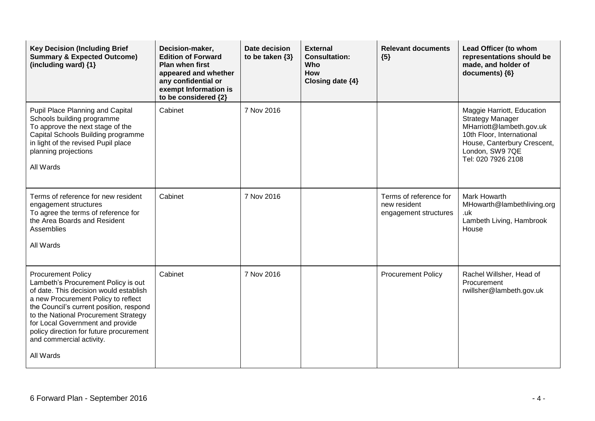| <b>Key Decision (Including Brief</b><br><b>Summary &amp; Expected Outcome)</b><br>(including ward) {1}                                                                                                                                                                                                                                                       | Decision-maker,<br><b>Edition of Forward</b><br><b>Plan when first</b><br>appeared and whether<br>any confidential or<br>exempt Information is<br>to be considered {2} | <b>Date decision</b><br>to be taken $\{3\}$ | <b>External</b><br><b>Consultation:</b><br>Who<br><b>How</b><br>Closing date {4} | <b>Relevant documents</b><br>${5}$                              | Lead Officer (to whom<br>representations should be<br>made, and holder of<br>documents) {6}                                                                                            |
|--------------------------------------------------------------------------------------------------------------------------------------------------------------------------------------------------------------------------------------------------------------------------------------------------------------------------------------------------------------|------------------------------------------------------------------------------------------------------------------------------------------------------------------------|---------------------------------------------|----------------------------------------------------------------------------------|-----------------------------------------------------------------|----------------------------------------------------------------------------------------------------------------------------------------------------------------------------------------|
| Pupil Place Planning and Capital<br>Schools building programme<br>To approve the next stage of the<br>Capital Schools Building programme<br>in light of the revised Pupil place<br>planning projections<br>All Wards                                                                                                                                         | Cabinet                                                                                                                                                                | 7 Nov 2016                                  |                                                                                  |                                                                 | Maggie Harriott, Education<br><b>Strategy Manager</b><br>MHarriott@lambeth.gov.uk<br>10th Floor, International<br>House, Canterbury Crescent,<br>London, SW9 7QE<br>Tel: 020 7926 2108 |
| Terms of reference for new resident<br>engagement structures<br>To agree the terms of reference for<br>the Area Boards and Resident<br>Assemblies<br>All Wards                                                                                                                                                                                               | Cabinet                                                                                                                                                                | 7 Nov 2016                                  |                                                                                  | Terms of reference for<br>new resident<br>engagement structures | <b>Mark Howarth</b><br>MHowarth@lambethliving.org<br>.uk<br>Lambeth Living, Hambrook<br>House                                                                                          |
| <b>Procurement Policy</b><br>Lambeth's Procurement Policy is out<br>of date. This decision would establish<br>a new Procurement Policy to reflect<br>the Council's current position, respond<br>to the National Procurement Strategy<br>for Local Government and provide<br>policy direction for future procurement<br>and commercial activity.<br>All Wards | Cabinet                                                                                                                                                                | 7 Nov 2016                                  |                                                                                  | <b>Procurement Policy</b>                                       | Rachel Willsher, Head of<br>Procurement<br>rwillsher@lambeth.gov.uk                                                                                                                    |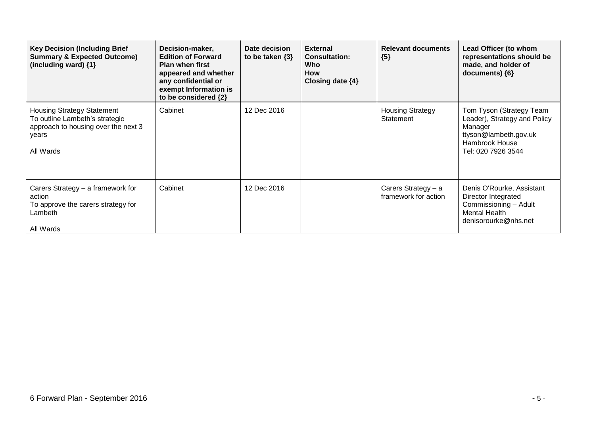| <b>Key Decision (Including Brief</b><br><b>Summary &amp; Expected Outcome)</b><br>(including ward) {1}                           | Decision-maker,<br><b>Edition of Forward</b><br><b>Plan when first</b><br>appeared and whether<br>any confidential or<br>exempt Information is<br>to be considered {2} | Date decision<br>to be taken $\{3\}$ | <b>External</b><br><b>Consultation:</b><br>Who<br><b>How</b><br>Closing date $\{4\}$ | <b>Relevant documents</b><br>${5}$            | Lead Officer (to whom<br>representations should be<br>made, and holder of<br>documents) {6}                                          |
|----------------------------------------------------------------------------------------------------------------------------------|------------------------------------------------------------------------------------------------------------------------------------------------------------------------|--------------------------------------|--------------------------------------------------------------------------------------|-----------------------------------------------|--------------------------------------------------------------------------------------------------------------------------------------|
| <b>Housing Strategy Statement</b><br>To outline Lambeth's strategic<br>approach to housing over the next 3<br>years<br>All Wards | Cabinet                                                                                                                                                                | 12 Dec 2016                          |                                                                                      | <b>Housing Strategy</b><br>Statement          | Tom Tyson (Strategy Team<br>Leader), Strategy and Policy<br>Manager<br>ttyson@lambeth.gov.uk<br>Hambrook House<br>Tel: 020 7926 3544 |
| Carers Strategy - a framework for<br>action<br>To approve the carers strategy for<br>Lambeth<br>All Wards                        | Cabinet                                                                                                                                                                | 12 Dec 2016                          |                                                                                      | Carers Strategy $- a$<br>framework for action | Denis O'Rourke, Assistant<br>Director Integrated<br>Commissioning - Adult<br><b>Mental Health</b><br>denisorourke@nhs.net            |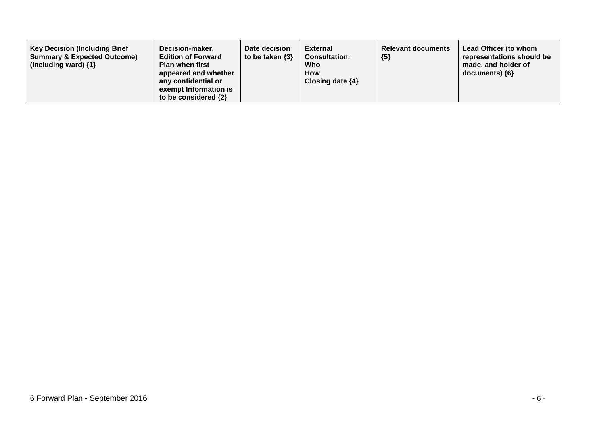| <b>Key Decision (Including Brief</b><br><b>Summary &amp; Expected Outcome)</b><br>(including ward) $\{1\}$ | Decision-maker,<br><b>Edition of Forward</b><br><b>Plan when first</b><br>appeared and whether<br>any confidential or<br>exempt Information is<br>to be considered {2} | Date decision<br>to be taken $\{3\}$ | <b>External</b><br><b>Consultation:</b><br>Who<br><b>How</b><br>Closing date $\{4\}$ | <b>Relevant documents</b><br>${5}$ | Lead Officer (to whom<br>representations should be<br>made, and holder of<br>documents) ${6}$ |
|------------------------------------------------------------------------------------------------------------|------------------------------------------------------------------------------------------------------------------------------------------------------------------------|--------------------------------------|--------------------------------------------------------------------------------------|------------------------------------|-----------------------------------------------------------------------------------------------|
|------------------------------------------------------------------------------------------------------------|------------------------------------------------------------------------------------------------------------------------------------------------------------------------|--------------------------------------|--------------------------------------------------------------------------------------|------------------------------------|-----------------------------------------------------------------------------------------------|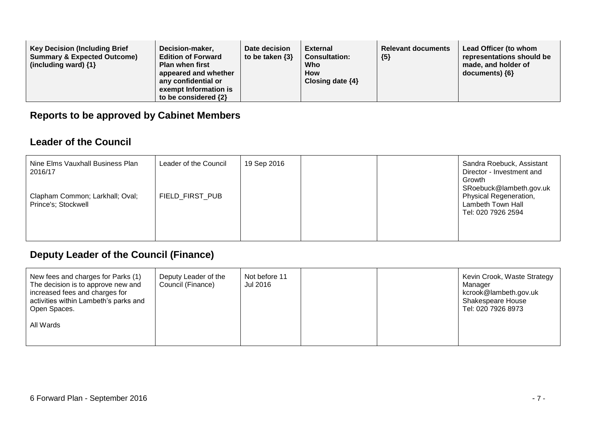| <b>Key Decision (Including Brief</b><br><b>Summary &amp; Expected Outcome)</b><br>(including ward) $\{1\}$ | Decision-maker,<br><b>Edition of Forward</b><br><b>Plan when first</b><br>appeared and whether<br>any confidential or<br>exempt Information is<br>to be considered {2} | Date decision<br>to be taken $\{3\}$ | External<br><b>Consultation:</b><br>Who<br><b>How</b><br>Closing date $\{4\}$ | <b>Relevant documents</b><br>${5}$ | Lead Officer (to whom<br>representations should be<br>made, and holder of<br>$documents)$ {6} |
|------------------------------------------------------------------------------------------------------------|------------------------------------------------------------------------------------------------------------------------------------------------------------------------|--------------------------------------|-------------------------------------------------------------------------------|------------------------------------|-----------------------------------------------------------------------------------------------|
|------------------------------------------------------------------------------------------------------------|------------------------------------------------------------------------------------------------------------------------------------------------------------------------|--------------------------------------|-------------------------------------------------------------------------------|------------------------------------|-----------------------------------------------------------------------------------------------|

### **Reports to be approved by Cabinet Members**

#### **Leader of the Council**

| Nine Elms Vauxhall Business Plan<br>2016/17            | Leader of the Council | 19 Sep 2016 |  | Sandra Roebuck, Assistant<br>Director - Investment and<br>Growth<br>SRoebuck@lambeth.gov.uk |
|--------------------------------------------------------|-----------------------|-------------|--|---------------------------------------------------------------------------------------------|
| Clapham Common; Larkhall; Oval;<br>Prince's; Stockwell | FIELD FIRST PUB       |             |  | Physical Regeneration,<br>Lambeth Town Hall<br>Tel: 020 7926 2594                           |

## **Deputy Leader of the Council (Finance)**

| Deputy Leader of the<br>Council (Finance) | Not before 11<br>Jul 2016 |  | Kevin Crook, Waste Strategy<br>Manager<br>kcrook@lambeth.gov.uk<br><b>Shakespeare House</b><br>Tel: 020 7926 8973 |
|-------------------------------------------|---------------------------|--|-------------------------------------------------------------------------------------------------------------------|
|                                           |                           |  |                                                                                                                   |
|                                           |                           |  |                                                                                                                   |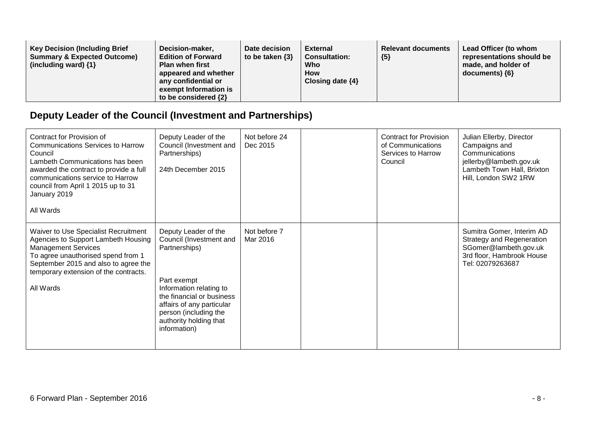| <b>Key Decision (Including Brief</b><br>Decision-maker,<br><b>Summary &amp; Expected Outcome)</b><br><b>Edition of Forward</b><br>(including ward) $\{1\}$<br><b>Plan when first</b><br>appeared and whether<br>any confidential or<br>exempt Information is<br>to be considered {2} | Date decision<br>to be taken $\{3\}$ | External<br><b>Consultation:</b><br>Who<br><b>How</b><br>Closing date $\{4\}$ | <b>Relevant documents</b><br>${5}$ | Lead Officer (to whom<br>representations should be<br>made, and holder of<br>$documents)$ {6} |
|--------------------------------------------------------------------------------------------------------------------------------------------------------------------------------------------------------------------------------------------------------------------------------------|--------------------------------------|-------------------------------------------------------------------------------|------------------------------------|-----------------------------------------------------------------------------------------------|
|--------------------------------------------------------------------------------------------------------------------------------------------------------------------------------------------------------------------------------------------------------------------------------------|--------------------------------------|-------------------------------------------------------------------------------|------------------------------------|-----------------------------------------------------------------------------------------------|

## **Deputy Leader of the Council (Investment and Partnerships)**

| Contract for Provision of<br><b>Communications Services to Harrow</b><br>Council<br>Lambeth Communications has been<br>awarded the contract to provide a full<br>communications service to Harrow<br>council from April 1 2015 up to 31<br>January 2019<br>All Wards | Deputy Leader of the<br>Council (Investment and<br>Partnerships)<br>24th December 2015                                                                                                                                                  | Not before 24<br>Dec 2015 | <b>Contract for Provision</b><br>of Communications<br>Services to Harrow<br>Council | Julian Ellerby, Director<br>Campaigns and<br>Communications<br>jellerby@lambeth.gov.uk<br>Lambeth Town Hall, Brixton<br>Hill, London SW2 1RW |
|----------------------------------------------------------------------------------------------------------------------------------------------------------------------------------------------------------------------------------------------------------------------|-----------------------------------------------------------------------------------------------------------------------------------------------------------------------------------------------------------------------------------------|---------------------------|-------------------------------------------------------------------------------------|----------------------------------------------------------------------------------------------------------------------------------------------|
| Waiver to Use Specialist Recruitment<br>Agencies to Support Lambeth Housing<br><b>Management Services</b><br>To agree unauthorised spend from 1<br>September 2015 and also to agree the<br>temporary extension of the contracts.<br>All Wards                        | Deputy Leader of the<br>Council (Investment and<br>Partnerships)<br>Part exempt<br>Information relating to<br>the financial or business<br>affairs of any particular<br>person (including the<br>authority holding that<br>information) | Not before 7<br>Mar 2016  |                                                                                     | Sumitra Gomer, Interim AD<br><b>Strategy and Regeneration</b><br>SGomer@lambeth.gov.uk<br>3rd floor, Hambrook House<br>Tel: 02079263687      |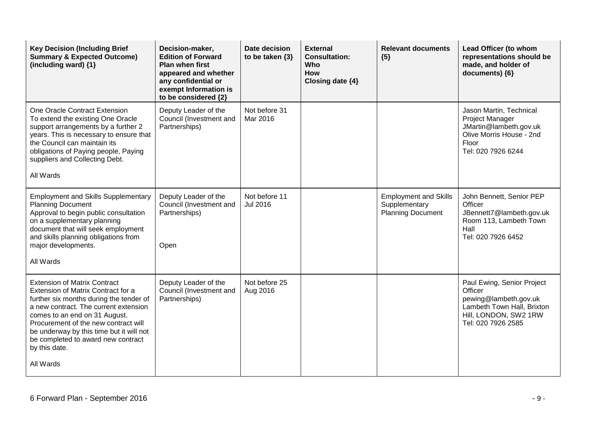| <b>Key Decision (Including Brief</b><br><b>Summary &amp; Expected Outcome)</b><br>(including ward) {1}                                                                                                                                                                                                                                                 | Decision-maker,<br><b>Edition of Forward</b><br><b>Plan when first</b><br>appeared and whether<br>any confidential or<br>exempt Information is<br>to be considered {2} | Date decision<br>to be taken $\{3\}$ | <b>External</b><br><b>Consultation:</b><br>Who<br><b>How</b><br>Closing date {4} | <b>Relevant documents</b><br>${5}$                                        | Lead Officer (to whom<br>representations should be<br>made, and holder of<br>documents) {6}                                                 |
|--------------------------------------------------------------------------------------------------------------------------------------------------------------------------------------------------------------------------------------------------------------------------------------------------------------------------------------------------------|------------------------------------------------------------------------------------------------------------------------------------------------------------------------|--------------------------------------|----------------------------------------------------------------------------------|---------------------------------------------------------------------------|---------------------------------------------------------------------------------------------------------------------------------------------|
| One Oracle Contract Extension<br>To extend the existing One Oracle<br>support arrangements by a further 2<br>years. This is necessary to ensure that<br>the Council can maintain its<br>obligations of Paying people, Paying<br>suppliers and Collecting Debt.<br>All Wards                                                                            | Deputy Leader of the<br>Council (Investment and<br>Partnerships)                                                                                                       | Not before 31<br>Mar 2016            |                                                                                  |                                                                           | Jason Martin, Technical<br><b>Project Manager</b><br>JMartin@lambeth.gov.uk<br>Olive Morris House - 2nd<br>Floor<br>Tel: 020 7926 6244      |
| <b>Employment and Skills Supplementary</b><br><b>Planning Document</b><br>Approval to begin public consultation<br>on a supplementary planning<br>document that will seek employment<br>and skills planning obligations from<br>major developments.<br>All Wards                                                                                       | Deputy Leader of the<br>Council (Investment and<br>Partnerships)<br>Open                                                                                               | Not before 11<br>Jul 2016            |                                                                                  | <b>Employment and Skills</b><br>Supplementary<br><b>Planning Document</b> | John Bennett, Senior PEP<br>Officer<br>JBennett7@lambeth.gov.uk<br>Room 113, Lambeth Town<br>Hall<br>Tel: 020 7926 6452                     |
| <b>Extension of Matrix Contract</b><br>Extension of Matrix Contract for a<br>further six months during the tender of<br>a new contract. The current extension<br>comes to an end on 31 August.<br>Procurement of the new contract will<br>be underway by this time but it will not<br>be completed to award new contract<br>by this date.<br>All Wards | Deputy Leader of the<br>Council (Investment and<br>Partnerships)                                                                                                       | Not before 25<br>Aug 2016            |                                                                                  |                                                                           | Paul Ewing, Senior Project<br>Officer<br>pewing@lambeth.gov.uk<br>Lambeth Town Hall, Brixton<br>Hill, LONDON, SW2 1RW<br>Tel: 020 7926 2585 |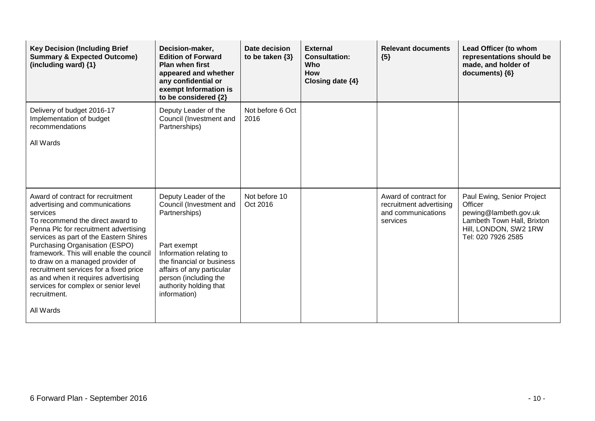| <b>Key Decision (Including Brief</b><br><b>Summary &amp; Expected Outcome)</b><br>(including ward) {1}                                                                                                                                                                                                                                                                                                                                                                        | Decision-maker,<br><b>Edition of Forward</b><br><b>Plan when first</b><br>appeared and whether<br>any confidential or<br>exempt Information is<br>to be considered {2}                                                                  | Date decision<br>to be taken $\{3\}$ | <b>External</b><br><b>Consultation:</b><br>Who<br><b>How</b><br>Closing date {4} | <b>Relevant documents</b><br>${5}$                                                 | Lead Officer (to whom<br>representations should be<br>made, and holder of<br>documents) {6}                                                 |
|-------------------------------------------------------------------------------------------------------------------------------------------------------------------------------------------------------------------------------------------------------------------------------------------------------------------------------------------------------------------------------------------------------------------------------------------------------------------------------|-----------------------------------------------------------------------------------------------------------------------------------------------------------------------------------------------------------------------------------------|--------------------------------------|----------------------------------------------------------------------------------|------------------------------------------------------------------------------------|---------------------------------------------------------------------------------------------------------------------------------------------|
| Delivery of budget 2016-17<br>Implementation of budget<br>recommendations<br>All Wards                                                                                                                                                                                                                                                                                                                                                                                        | Deputy Leader of the<br>Council (Investment and<br>Partnerships)                                                                                                                                                                        | Not before 6 Oct<br>2016             |                                                                                  |                                                                                    |                                                                                                                                             |
| Award of contract for recruitment<br>advertising and communications<br>services<br>To recommend the direct award to<br>Penna Plc for recruitment advertising<br>services as part of the Eastern Shires<br>Purchasing Organisation (ESPO)<br>framework. This will enable the council<br>to draw on a managed provider of<br>recruitment services for a fixed price<br>as and when it requires advertising<br>services for complex or senior level<br>recruitment.<br>All Wards | Deputy Leader of the<br>Council (Investment and<br>Partnerships)<br>Part exempt<br>Information relating to<br>the financial or business<br>affairs of any particular<br>person (including the<br>authority holding that<br>information) | Not before 10<br>Oct 2016            |                                                                                  | Award of contract for<br>recruitment advertising<br>and communications<br>services | Paul Ewing, Senior Project<br>Officer<br>pewing@lambeth.gov.uk<br>Lambeth Town Hall, Brixton<br>Hill, LONDON, SW2 1RW<br>Tel: 020 7926 2585 |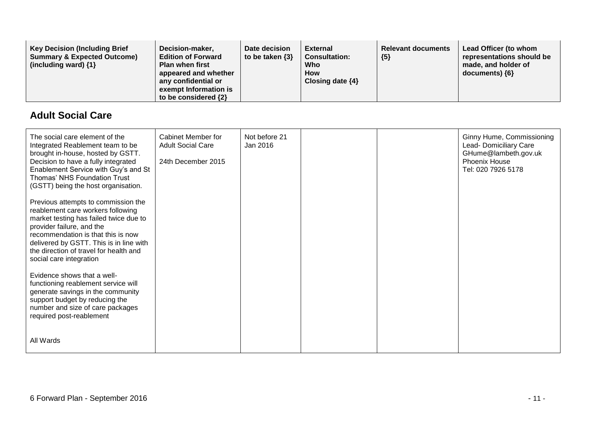| <b>Key Decision (Including Brief</b><br><b>Summary &amp; Expected Outcome)</b><br>(including ward) $\{1\}$ | Decision-maker,<br><b>Edition of Forward</b><br><b>Plan when first</b><br>appeared and whether<br>any confidential or<br>exempt Information is<br>to be considered {2} | Date decision<br>to be taken $\{3\}$ | External<br><b>Consultation:</b><br>Who<br><b>How</b><br>Closing date {4} | <b>Relevant documents</b><br>${5}$ | Lead Officer (to whom<br>representations should be<br>made, and holder of<br>documents) ${6}$ |
|------------------------------------------------------------------------------------------------------------|------------------------------------------------------------------------------------------------------------------------------------------------------------------------|--------------------------------------|---------------------------------------------------------------------------|------------------------------------|-----------------------------------------------------------------------------------------------|
|------------------------------------------------------------------------------------------------------------|------------------------------------------------------------------------------------------------------------------------------------------------------------------------|--------------------------------------|---------------------------------------------------------------------------|------------------------------------|-----------------------------------------------------------------------------------------------|

### **Adult Social Care**

| The social care element of the<br>Integrated Reablement team to be<br>brought in-house, hosted by GSTT.<br>Decision to have a fully integrated<br>Enablement Service with Guy's and St<br>Thomas' NHS Foundation Trust<br>(GSTT) being the host organisation.                                         | Cabinet Member for<br><b>Adult Social Care</b><br>24th December 2015 | Not before 21<br>Jan 2016 |  | Ginny Hume, Commissioning<br>Lead- Domiciliary Care<br>GHume@lambeth.gov.uk<br>Phoenix House<br>Tel: 020 7926 5178 |
|-------------------------------------------------------------------------------------------------------------------------------------------------------------------------------------------------------------------------------------------------------------------------------------------------------|----------------------------------------------------------------------|---------------------------|--|--------------------------------------------------------------------------------------------------------------------|
| Previous attempts to commission the<br>reablement care workers following<br>market testing has failed twice due to<br>provider failure, and the<br>recommendation is that this is now<br>delivered by GSTT. This is in line with<br>the direction of travel for health and<br>social care integration |                                                                      |                           |  |                                                                                                                    |
| Evidence shows that a well-<br>functioning reablement service will<br>generate savings in the community<br>support budget by reducing the<br>number and size of care packages<br>required post-reablement                                                                                             |                                                                      |                           |  |                                                                                                                    |
| All Wards                                                                                                                                                                                                                                                                                             |                                                                      |                           |  |                                                                                                                    |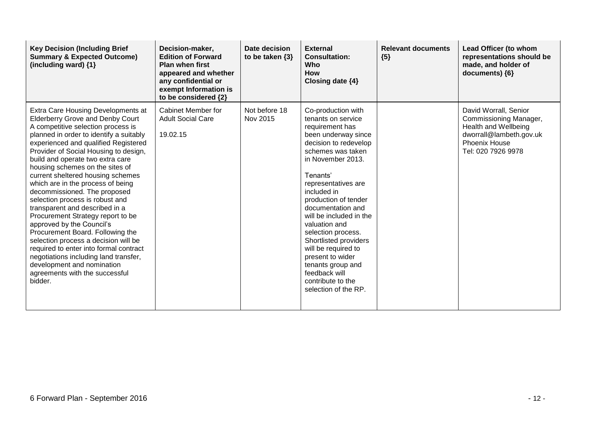| <b>Key Decision (Including Brief</b><br><b>Summary &amp; Expected Outcome)</b><br>(including ward) {1}                                                                                                                                                                                                                                                                                                                                                                                                                                                                                                                                                                                                                                                                                                            | Decision-maker,<br><b>Edition of Forward</b><br><b>Plan when first</b><br>appeared and whether<br>any confidential or<br>exempt Information is<br>to be considered {2} | Date decision<br>to be taken $\{3\}$ | <b>External</b><br><b>Consultation:</b><br><b>Who</b><br><b>How</b><br>Closing date {4}                                                                                                                                                                                                                                                                                                                                                                                       | <b>Relevant documents</b><br>${5}$ | Lead Officer (to whom<br>representations should be<br>made, and holder of<br>documents) {6}                                               |
|-------------------------------------------------------------------------------------------------------------------------------------------------------------------------------------------------------------------------------------------------------------------------------------------------------------------------------------------------------------------------------------------------------------------------------------------------------------------------------------------------------------------------------------------------------------------------------------------------------------------------------------------------------------------------------------------------------------------------------------------------------------------------------------------------------------------|------------------------------------------------------------------------------------------------------------------------------------------------------------------------|--------------------------------------|-------------------------------------------------------------------------------------------------------------------------------------------------------------------------------------------------------------------------------------------------------------------------------------------------------------------------------------------------------------------------------------------------------------------------------------------------------------------------------|------------------------------------|-------------------------------------------------------------------------------------------------------------------------------------------|
| Extra Care Housing Developments at<br><b>Elderberry Grove and Denby Court</b><br>A competitive selection process is<br>planned in order to identify a suitably<br>experienced and qualified Registered<br>Provider of Social Housing to design,<br>build and operate two extra care<br>housing schemes on the sites of<br>current sheltered housing schemes<br>which are in the process of being<br>decommissioned. The proposed<br>selection process is robust and<br>transparent and described in a<br>Procurement Strategy report to be<br>approved by the Council's<br>Procurement Board. Following the<br>selection process a decision will be<br>required to enter into formal contract<br>negotiations including land transfer,<br>development and nomination<br>agreements with the successful<br>bidder. | Cabinet Member for<br><b>Adult Social Care</b><br>19.02.15                                                                                                             | Not before 18<br>Nov 2015            | Co-production with<br>tenants on service<br>requirement has<br>been underway since<br>decision to redevelop<br>schemes was taken<br>in November 2013.<br>Tenants'<br>representatives are<br>included in<br>production of tender<br>documentation and<br>will be included in the<br>valuation and<br>selection process.<br>Shortlisted providers<br>will be required to<br>present to wider<br>tenants group and<br>feedback will<br>contribute to the<br>selection of the RP. |                                    | David Worrall, Senior<br>Commissioning Manager,<br>Health and Wellbeing<br>dworrall@lambeth.gov.uk<br>Phoenix House<br>Tel: 020 7926 9978 |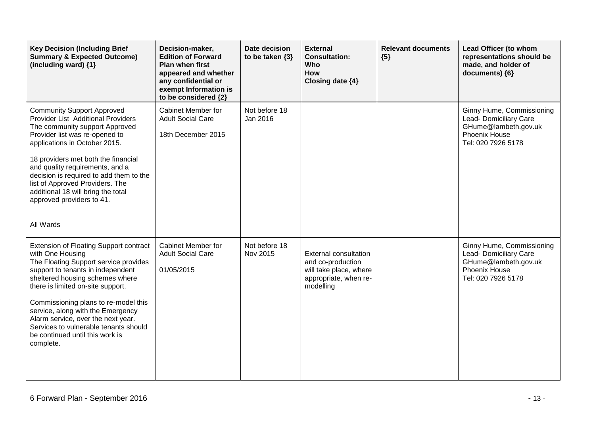| <b>Key Decision (Including Brief</b><br><b>Summary &amp; Expected Outcome)</b><br>(including ward) {1}                                                                                                                                                                                                                                                                                                                       | Decision-maker,<br><b>Edition of Forward</b><br><b>Plan when first</b><br>appeared and whether<br>any confidential or<br>exempt Information is<br>to be considered {2} | Date decision<br>to be taken $\{3\}$ | <b>External</b><br><b>Consultation:</b><br><b>Who</b><br><b>How</b><br>Closing date {4}                           | <b>Relevant documents</b><br>${5}$ | Lead Officer (to whom<br>representations should be<br>made, and holder of<br>documents) {6}                        |
|------------------------------------------------------------------------------------------------------------------------------------------------------------------------------------------------------------------------------------------------------------------------------------------------------------------------------------------------------------------------------------------------------------------------------|------------------------------------------------------------------------------------------------------------------------------------------------------------------------|--------------------------------------|-------------------------------------------------------------------------------------------------------------------|------------------------------------|--------------------------------------------------------------------------------------------------------------------|
| <b>Community Support Approved</b><br><b>Provider List Additional Providers</b><br>The community support Approved<br>Provider list was re-opened to<br>applications in October 2015.<br>18 providers met both the financial<br>and quality requirements, and a<br>decision is required to add them to the<br>list of Approved Providers. The<br>additional 18 will bring the total<br>approved providers to 41.<br>All Wards  | Cabinet Member for<br><b>Adult Social Care</b><br>18th December 2015                                                                                                   | Not before 18<br>Jan 2016            |                                                                                                                   |                                    | Ginny Hume, Commissioning<br>Lead- Domiciliary Care<br>GHume@lambeth.gov.uk<br>Phoenix House<br>Tel: 020 7926 5178 |
| Extension of Floating Support contract<br>with One Housing<br>The Floating Support service provides<br>support to tenants in independent<br>sheltered housing schemes where<br>there is limited on-site support.<br>Commissioning plans to re-model this<br>service, along with the Emergency<br>Alarm service, over the next year.<br>Services to vulnerable tenants should<br>be continued until this work is<br>complete. | Cabinet Member for<br><b>Adult Social Care</b><br>01/05/2015                                                                                                           | Not before 18<br>Nov 2015            | <b>External consultation</b><br>and co-production<br>will take place, where<br>appropriate, when re-<br>modelling |                                    | Ginny Hume, Commissioning<br>Lead- Domiciliary Care<br>GHume@lambeth.gov.uk<br>Phoenix House<br>Tel: 020 7926 5178 |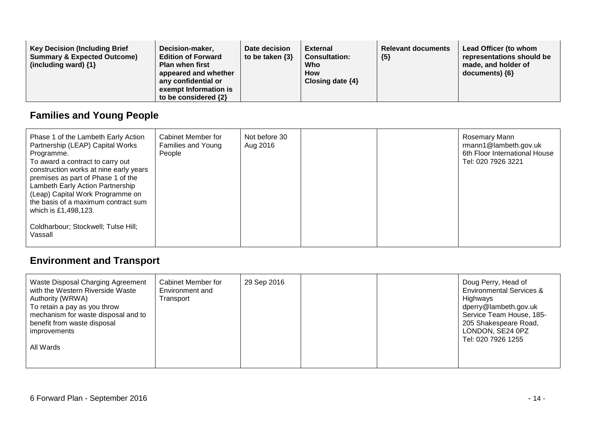# **Families and Young People**

| Phase 1 of the Lambeth Early Action<br>Partnership (LEAP) Capital Works<br>Programme.<br>To award a contract to carry out<br>construction works at nine early years<br>premises as part of Phase 1 of the<br>Lambeth Early Action Partnership<br>(Leap) Capital Work Programme on<br>the basis of a maximum contract sum<br>which is £1,498,123. | Cabinet Member for<br>Families and Young<br>People | Not before 30<br>Aug 2016 |  | Rosemary Mann<br>rmann1@lambeth.gov.uk<br>6th Floor International House<br>Tel: 020 7926 3221 |
|--------------------------------------------------------------------------------------------------------------------------------------------------------------------------------------------------------------------------------------------------------------------------------------------------------------------------------------------------|----------------------------------------------------|---------------------------|--|-----------------------------------------------------------------------------------------------|
| Coldharbour; Stockwell; Tulse Hill;<br>Vassall                                                                                                                                                                                                                                                                                                   |                                                    |                           |  |                                                                                               |

## **Environment and Transport**

| Waste Disposal Charging Agreement<br>with the Western Riverside Waste<br>Authority (WRWA)<br>To retain a pay as you throw<br>mechanism for waste disposal and to<br>benefit from waste disposal<br>improvements<br>All Wards | <b>Cabinet Member for</b><br>Environment and<br>Transport | 29 Sep 2016 |  |  | Doug Perry, Head of<br><b>Environmental Services &amp;</b><br>Highways<br>dperry@lambeth.gov.uk<br>Service Team House, 185-<br>205 Shakespeare Road,<br>LONDON, SE24 0PZ<br>Tel: 020 7926 1255 |
|------------------------------------------------------------------------------------------------------------------------------------------------------------------------------------------------------------------------------|-----------------------------------------------------------|-------------|--|--|------------------------------------------------------------------------------------------------------------------------------------------------------------------------------------------------|
|------------------------------------------------------------------------------------------------------------------------------------------------------------------------------------------------------------------------------|-----------------------------------------------------------|-------------|--|--|------------------------------------------------------------------------------------------------------------------------------------------------------------------------------------------------|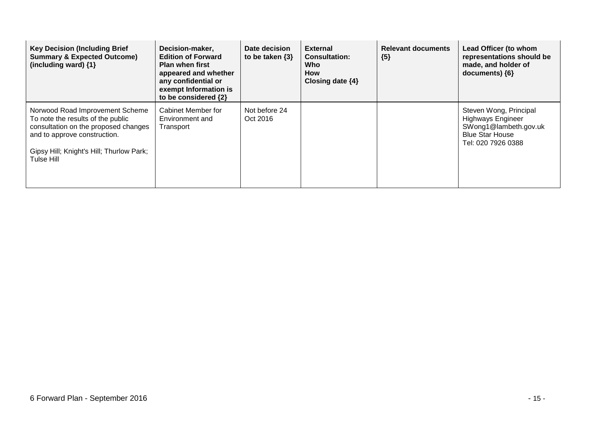| <b>Key Decision (Including Brief</b><br><b>Summary &amp; Expected Outcome)</b><br>(including ward) {1}                                                                                                 | Decision-maker,<br><b>Edition of Forward</b><br><b>Plan when first</b><br>appeared and whether<br>any confidential or<br>exempt Information is<br>to be considered {2} | Date decision<br>to be taken $\{3\}$ | <b>External</b><br><b>Consultation:</b><br>Who<br>How<br>Closing date $\{4\}$ | <b>Relevant documents</b><br>${5}$ | Lead Officer (to whom<br>representations should be<br>made, and holder of<br>documents) $\{6\}$                             |
|--------------------------------------------------------------------------------------------------------------------------------------------------------------------------------------------------------|------------------------------------------------------------------------------------------------------------------------------------------------------------------------|--------------------------------------|-------------------------------------------------------------------------------|------------------------------------|-----------------------------------------------------------------------------------------------------------------------------|
| Norwood Road Improvement Scheme<br>To note the results of the public<br>consultation on the proposed changes<br>and to approve construction.<br>Gipsy Hill; Knight's Hill; Thurlow Park;<br>Tulse Hill | Cabinet Member for<br>Environment and<br>Transport                                                                                                                     | Not before 24<br>Oct 2016            |                                                                               |                                    | Steven Wong, Principal<br><b>Highways Engineer</b><br>SWong1@lambeth.gov.uk<br><b>Blue Star House</b><br>Tel: 020 7926 0388 |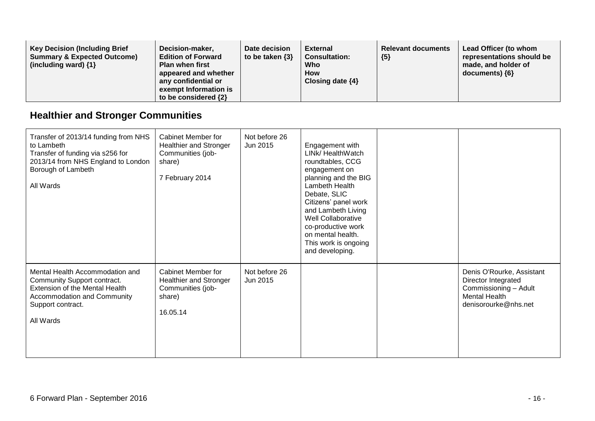## **Healthier and Stronger Communities**

| Transfer of 2013/14 funding from NHS<br>to Lambeth<br>Transfer of funding via s256 for<br>2013/14 from NHS England to London<br>Borough of Lambeth<br>All Wards   | Cabinet Member for<br>Healthier and Stronger<br>Communities (job-<br>share)<br>7 February 2014 | Not before 26<br>Jun 2015 | Engagement with<br>LINk/ HealthWatch<br>roundtables, CCG<br>engagement on<br>planning and the BIG<br>Lambeth Health<br>Debate, SLIC<br>Citizens' panel work<br>and Lambeth Living<br>Well Collaborative<br>co-productive work<br>on mental health.<br>This work is ongoing<br>and developing. |                                                                                                                           |
|-------------------------------------------------------------------------------------------------------------------------------------------------------------------|------------------------------------------------------------------------------------------------|---------------------------|-----------------------------------------------------------------------------------------------------------------------------------------------------------------------------------------------------------------------------------------------------------------------------------------------|---------------------------------------------------------------------------------------------------------------------------|
| Mental Health Accommodation and<br>Community Support contract.<br>Extension of the Mental Health<br>Accommodation and Community<br>Support contract.<br>All Wards | <b>Cabinet Member for</b><br>Healthier and Stronger<br>Communities (job-<br>share)<br>16.05.14 | Not before 26<br>Jun 2015 |                                                                                                                                                                                                                                                                                               | Denis O'Rourke, Assistant<br>Director Integrated<br>Commissioning - Adult<br><b>Mental Health</b><br>denisorourke@nhs.net |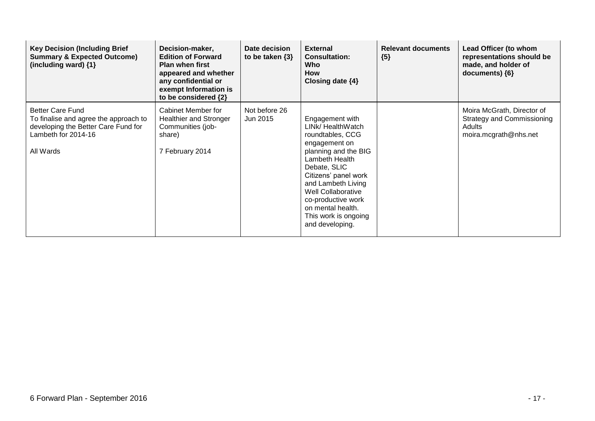| <b>Key Decision (Including Brief</b><br><b>Summary &amp; Expected Outcome)</b><br>(including ward) $\{1\}$                                  | Decision-maker,<br><b>Edition of Forward</b><br><b>Plan when first</b><br>appeared and whether<br>any confidential or<br>exempt Information is<br>to be considered {2} | Date decision<br>to be taken $\{3\}$ | <b>External</b><br><b>Consultation:</b><br>Who<br>How<br>Closing date $\{4\}$                                                                                                                                                                                                                 | <b>Relevant documents</b><br>${5}$ | Lead Officer (to whom<br>representations should be<br>made, and holder of<br>documents) ${6}$             |
|---------------------------------------------------------------------------------------------------------------------------------------------|------------------------------------------------------------------------------------------------------------------------------------------------------------------------|--------------------------------------|-----------------------------------------------------------------------------------------------------------------------------------------------------------------------------------------------------------------------------------------------------------------------------------------------|------------------------------------|-----------------------------------------------------------------------------------------------------------|
| <b>Better Care Fund</b><br>To finalise and agree the approach to<br>developing the Better Care Fund for<br>Lambeth for 2014-16<br>All Wards | Cabinet Member for<br><b>Healthier and Stronger</b><br>Communities (job-<br>share)<br>7 February 2014                                                                  | Not before 26<br>Jun 2015            | Engagement with<br>LINk/ HealthWatch<br>roundtables, CCG<br>engagement on<br>planning and the BIG<br>Lambeth Health<br>Debate, SLIC<br>Citizens' panel work<br>and Lambeth Living<br>Well Collaborative<br>co-productive work<br>on mental health.<br>This work is ongoing<br>and developing. |                                    | Moira McGrath, Director of<br><b>Strategy and Commissioning</b><br><b>Adults</b><br>moira.mcgrath@nhs.net |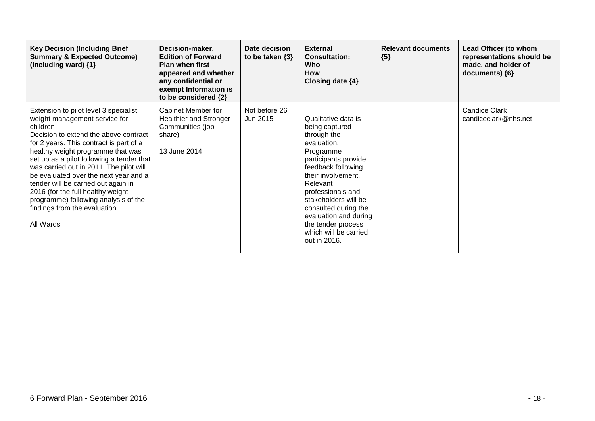| <b>Key Decision (Including Brief</b><br><b>Summary &amp; Expected Outcome)</b><br>(including ward) {1}                                                                                                                                                                                                                                                                                                                                                                                                         | Decision-maker,<br><b>Edition of Forward</b><br><b>Plan when first</b><br>appeared and whether<br>any confidential or<br>exempt Information is<br>to be considered {2} | Date decision<br>to be taken $\{3\}$ | <b>External</b><br><b>Consultation:</b><br>Who<br><b>How</b><br>Closing date $\{4\}$                                                                                                                                                                                                                                          | <b>Relevant documents</b><br>${5}$ | Lead Officer (to whom<br>representations should be<br>made, and holder of<br>documents) $\{6\}$ |
|----------------------------------------------------------------------------------------------------------------------------------------------------------------------------------------------------------------------------------------------------------------------------------------------------------------------------------------------------------------------------------------------------------------------------------------------------------------------------------------------------------------|------------------------------------------------------------------------------------------------------------------------------------------------------------------------|--------------------------------------|-------------------------------------------------------------------------------------------------------------------------------------------------------------------------------------------------------------------------------------------------------------------------------------------------------------------------------|------------------------------------|-------------------------------------------------------------------------------------------------|
| Extension to pilot level 3 specialist<br>weight management service for<br>children<br>Decision to extend the above contract<br>for 2 years. This contract is part of a<br>healthy weight programme that was<br>set up as a pilot following a tender that<br>was carried out in 2011. The pilot will<br>be evaluated over the next year and a<br>tender will be carried out again in<br>2016 (for the full healthy weight<br>programme) following analysis of the<br>findings from the evaluation.<br>All Wards | Cabinet Member for<br>Healthier and Stronger<br>Communities (job-<br>share)<br>13 June 2014                                                                            | Not before 26<br>Jun 2015            | Qualitative data is<br>being captured<br>through the<br>evaluation.<br>Programme<br>participants provide<br>feedback following<br>their involvement.<br>Relevant<br>professionals and<br>stakeholders will be<br>consulted during the<br>evaluation and during<br>the tender process<br>which will be carried<br>out in 2016. |                                    | <b>Candice Clark</b><br>candiceclark@nhs.net                                                    |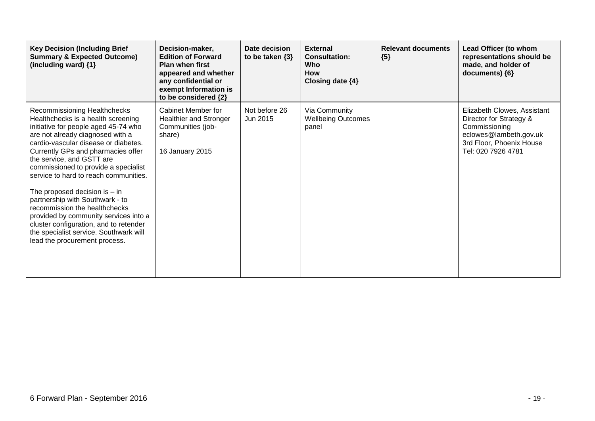| <b>Key Decision (Including Brief</b><br><b>Summary &amp; Expected Outcome)</b><br>(including ward) {1}                                                                                                                                                                                                                                                                                                                                                                                                                                                                                                          | Decision-maker,<br><b>Edition of Forward</b><br><b>Plan when first</b><br>appeared and whether<br>any confidential or<br>exempt Information is<br>to be considered {2} | Date decision<br>to be taken $\{3\}$ | <b>External</b><br><b>Consultation:</b><br>Who<br><b>How</b><br>Closing date $\{4\}$ | <b>Relevant documents</b><br>${5}$ | Lead Officer (to whom<br>representations should be<br>made, and holder of<br>documents) {6}                                                         |
|-----------------------------------------------------------------------------------------------------------------------------------------------------------------------------------------------------------------------------------------------------------------------------------------------------------------------------------------------------------------------------------------------------------------------------------------------------------------------------------------------------------------------------------------------------------------------------------------------------------------|------------------------------------------------------------------------------------------------------------------------------------------------------------------------|--------------------------------------|--------------------------------------------------------------------------------------|------------------------------------|-----------------------------------------------------------------------------------------------------------------------------------------------------|
| Recommissioning Healthchecks<br>Healthchecks is a health screening<br>initiative for people aged 45-74 who<br>are not already diagnosed with a<br>cardio-vascular disease or diabetes.<br>Currently GPs and pharmacies offer<br>the service, and GSTT are<br>commissioned to provide a specialist<br>service to hard to reach communities.<br>The proposed decision is $-$ in<br>partnership with Southwark - to<br>recommission the healthchecks<br>provided by community services into a<br>cluster configuration, and to retender<br>the specialist service. Southwark will<br>lead the procurement process. | Cabinet Member for<br><b>Healthier and Stronger</b><br>Communities (job-<br>share)<br>16 January 2015                                                                  | Not before 26<br>Jun 2015            | Via Community<br><b>Wellbeing Outcomes</b><br>panel                                  |                                    | Elizabeth Clowes, Assistant<br>Director for Strategy &<br>Commissioning<br>eclowes@lambeth.gov.uk<br>3rd Floor, Phoenix House<br>Tel: 020 7926 4781 |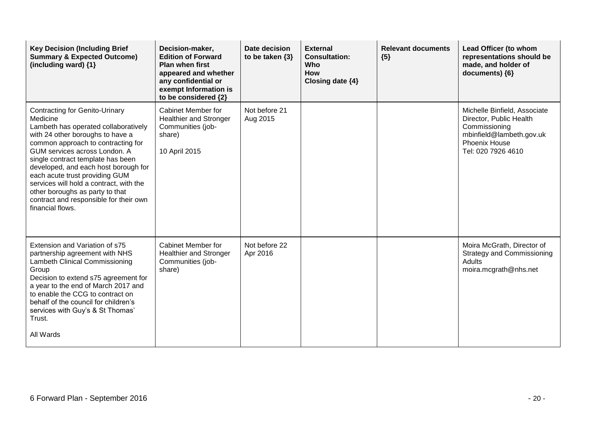| <b>Key Decision (Including Brief</b><br><b>Summary &amp; Expected Outcome)</b><br>(including ward) $\{1\}$                                                                                                                                                                                                                                                                                                                                                      | Decision-maker,<br><b>Edition of Forward</b><br><b>Plan when first</b><br>appeared and whether<br>any confidential or<br>exempt Information is<br>to be considered {2} | Date decision<br>to be taken {3} | <b>External</b><br><b>Consultation:</b><br><b>Who</b><br>How<br>Closing date {4} | <b>Relevant documents</b><br>${5}$ | Lead Officer (to whom<br>representations should be<br>made, and holder of<br>documents) {6}                                                 |
|-----------------------------------------------------------------------------------------------------------------------------------------------------------------------------------------------------------------------------------------------------------------------------------------------------------------------------------------------------------------------------------------------------------------------------------------------------------------|------------------------------------------------------------------------------------------------------------------------------------------------------------------------|----------------------------------|----------------------------------------------------------------------------------|------------------------------------|---------------------------------------------------------------------------------------------------------------------------------------------|
| <b>Contracting for Genito-Urinary</b><br>Medicine<br>Lambeth has operated collaboratively<br>with 24 other boroughs to have a<br>common approach to contracting for<br>GUM services across London. A<br>single contract template has been<br>developed, and each host borough for<br>each acute trust providing GUM<br>services will hold a contract, with the<br>other boroughs as party to that<br>contract and responsible for their own<br>financial flows. | <b>Cabinet Member for</b><br><b>Healthier and Stronger</b><br>Communities (job-<br>share)<br>10 April 2015                                                             | Not before 21<br>Aug 2015        |                                                                                  |                                    | Michelle Binfield, Associate<br>Director, Public Health<br>Commissioning<br>mbinfield@lambeth.gov.uk<br>Phoenix House<br>Tel: 020 7926 4610 |
| Extension and Variation of s75<br>partnership agreement with NHS<br><b>Lambeth Clinical Commissioning</b><br>Group<br>Decision to extend s75 agreement for<br>a year to the end of March 2017 and<br>to enable the CCG to contract on<br>behalf of the council for children's<br>services with Guy's & St Thomas'<br>Trust.<br>All Wards                                                                                                                        | <b>Cabinet Member for</b><br><b>Healthier and Stronger</b><br>Communities (job-<br>share)                                                                              | Not before 22<br>Apr 2016        |                                                                                  |                                    | Moira McGrath, Director of<br><b>Strategy and Commissioning</b><br>Adults<br>moira.mcgrath@nhs.net                                          |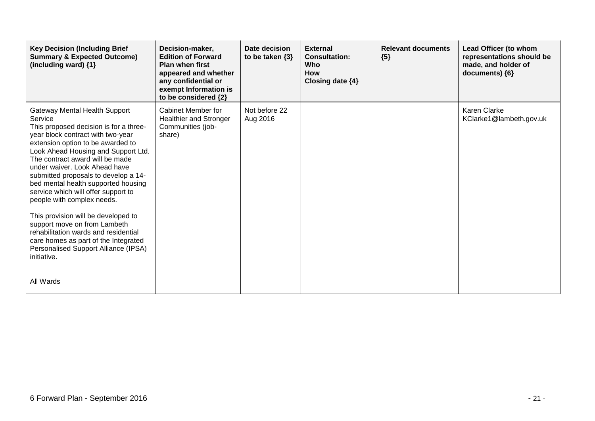| <b>Key Decision (Including Brief</b><br><b>Summary &amp; Expected Outcome)</b><br>(including ward) $\{1\}$                                                                                                                                                                                                                                                                                                                                                                                                                                                                                                                                       | Decision-maker,<br><b>Edition of Forward</b><br>Plan when first<br>appeared and whether<br>any confidential or<br>exempt Information is<br>to be considered {2} | Date decision<br>to be taken $\{3\}$ | <b>External</b><br><b>Consultation:</b><br>Who<br><b>How</b><br>Closing date {4} | <b>Relevant documents</b><br>${5}$ | Lead Officer (to whom<br>representations should be<br>made, and holder of<br>documents) {6} |
|--------------------------------------------------------------------------------------------------------------------------------------------------------------------------------------------------------------------------------------------------------------------------------------------------------------------------------------------------------------------------------------------------------------------------------------------------------------------------------------------------------------------------------------------------------------------------------------------------------------------------------------------------|-----------------------------------------------------------------------------------------------------------------------------------------------------------------|--------------------------------------|----------------------------------------------------------------------------------|------------------------------------|---------------------------------------------------------------------------------------------|
| <b>Gateway Mental Health Support</b><br>Service<br>This proposed decision is for a three-<br>year block contract with two-year<br>extension option to be awarded to<br>Look Ahead Housing and Support Ltd.<br>The contract award will be made<br>under waiver. Look Ahead have<br>submitted proposals to develop a 14-<br>bed mental health supported housing<br>service which will offer support to<br>people with complex needs.<br>This provision will be developed to<br>support move on from Lambeth<br>rehabilitation wards and residential<br>care homes as part of the Integrated<br>Personalised Support Alliance (IPSA)<br>initiative. | Cabinet Member for<br><b>Healthier and Stronger</b><br>Communities (job-<br>share)                                                                              | Not before 22<br>Aug 2016            |                                                                                  |                                    | Karen Clarke<br>KClarke1@lambeth.gov.uk                                                     |
| All Wards                                                                                                                                                                                                                                                                                                                                                                                                                                                                                                                                                                                                                                        |                                                                                                                                                                 |                                      |                                                                                  |                                    |                                                                                             |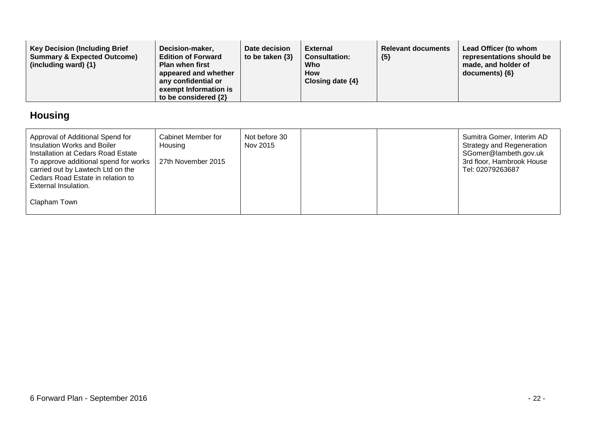| <b>Key Decision (Including Brief)</b><br>Decision-maker,<br><b>Summary &amp; Expected Outcome)</b><br><b>Edition of Forward</b><br>(including ward) $\{1\}$<br><b>Plan when first</b><br>appeared and whether<br>any confidential or<br>exempt Information is<br>to be considered {2} | Date decision<br>to be taken $\{3\}$ | External<br><b>Consultation:</b><br>Who<br><b>How</b><br>Closing date $\{4\}$ | <b>Relevant documents</b><br>${5}$ | Lead Officer (to whom<br>representations should be<br>made, and holder of<br>$documents)$ {6} |
|---------------------------------------------------------------------------------------------------------------------------------------------------------------------------------------------------------------------------------------------------------------------------------------|--------------------------------------|-------------------------------------------------------------------------------|------------------------------------|-----------------------------------------------------------------------------------------------|
|---------------------------------------------------------------------------------------------------------------------------------------------------------------------------------------------------------------------------------------------------------------------------------------|--------------------------------------|-------------------------------------------------------------------------------|------------------------------------|-----------------------------------------------------------------------------------------------|

# **Housing**

| Approval of Additional Spend for<br>Insulation Works and Boiler<br>Installation at Cedars Road Estate<br>To approve additional spend for works<br>carried out by Lawtech Ltd on the<br>Cedars Road Estate in relation to<br>External Insulation. | Cabinet Member for<br>Housing<br>27th November 2015 | Not before 30<br>Nov 2015 |  | Sumitra Gomer, Interim AD<br><b>Strategy and Regeneration</b><br>SGomer@lambeth.gov.uk<br>3rd floor, Hambrook House<br>Tel: 02079263687 |
|--------------------------------------------------------------------------------------------------------------------------------------------------------------------------------------------------------------------------------------------------|-----------------------------------------------------|---------------------------|--|-----------------------------------------------------------------------------------------------------------------------------------------|
| Clapham Town                                                                                                                                                                                                                                     |                                                     |                           |  |                                                                                                                                         |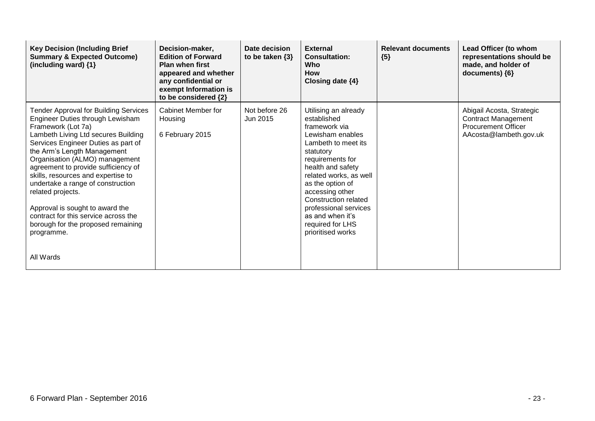| <b>Key Decision (Including Brief</b><br><b>Summary &amp; Expected Outcome)</b><br>(including ward) {1}                                                                                                                                                                                                                                                                                                                                                                                                                                   | Decision-maker,<br><b>Edition of Forward</b><br><b>Plan when first</b><br>appeared and whether<br>any confidential or<br>exempt Information is<br>to be considered {2} | Date decision<br>to be taken $\{3\}$ | <b>External</b><br><b>Consultation:</b><br><b>Who</b><br><b>How</b><br>Closing date $\{4\}$                                                                                                                                                                                                                                          | <b>Relevant documents</b><br>${5}$ | Lead Officer (to whom<br>representations should be<br>made, and holder of<br>documents) {6}                     |
|------------------------------------------------------------------------------------------------------------------------------------------------------------------------------------------------------------------------------------------------------------------------------------------------------------------------------------------------------------------------------------------------------------------------------------------------------------------------------------------------------------------------------------------|------------------------------------------------------------------------------------------------------------------------------------------------------------------------|--------------------------------------|--------------------------------------------------------------------------------------------------------------------------------------------------------------------------------------------------------------------------------------------------------------------------------------------------------------------------------------|------------------------------------|-----------------------------------------------------------------------------------------------------------------|
| <b>Tender Approval for Building Services</b><br>Engineer Duties through Lewisham<br>Framework (Lot 7a)<br>Lambeth Living Ltd secures Building<br>Services Engineer Duties as part of<br>the Arm's Length Management<br>Organisation (ALMO) management<br>agreement to provide sufficiency of<br>skills, resources and expertise to<br>undertake a range of construction<br>related projects.<br>Approval is sought to award the<br>contract for this service across the<br>borough for the proposed remaining<br>programme.<br>All Wards | Cabinet Member for<br>Housing<br>6 February 2015                                                                                                                       | Not before 26<br>Jun 2015            | Utilising an already<br>established<br>framework via<br>Lewisham enables<br>Lambeth to meet its<br>statutory<br>requirements for<br>health and safety<br>related works, as well<br>as the option of<br>accessing other<br>Construction related<br>professional services<br>as and when it's<br>required for LHS<br>prioritised works |                                    | Abigail Acosta, Strategic<br><b>Contract Management</b><br><b>Procurement Officer</b><br>AAcosta@lambeth.gov.uk |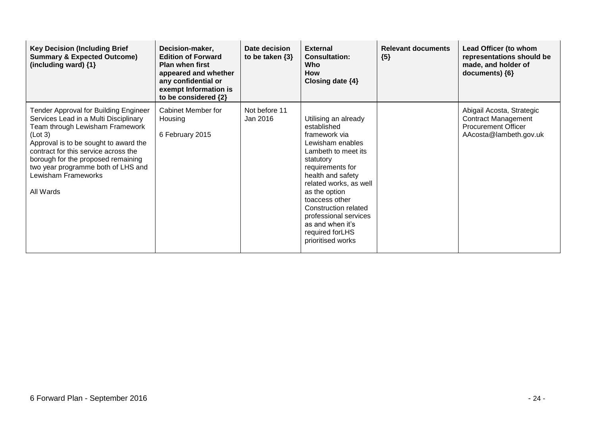| <b>Key Decision (Including Brief</b><br><b>Summary &amp; Expected Outcome)</b><br>(including ward) $\{1\}$                                                                                                                                                                                                                           | Decision-maker,<br><b>Edition of Forward</b><br><b>Plan when first</b><br>appeared and whether<br>any confidential or<br>exempt Information is<br>to be considered {2} | Date decision<br>to be taken $\{3\}$ | <b>External</b><br><b>Consultation:</b><br><b>Who</b><br><b>How</b><br>Closing date $\{4\}$                                                                                                                                                                                                                                      | <b>Relevant documents</b><br>${5}$ | Lead Officer (to whom<br>representations should be<br>made, and holder of<br>documents) {6}                     |
|--------------------------------------------------------------------------------------------------------------------------------------------------------------------------------------------------------------------------------------------------------------------------------------------------------------------------------------|------------------------------------------------------------------------------------------------------------------------------------------------------------------------|--------------------------------------|----------------------------------------------------------------------------------------------------------------------------------------------------------------------------------------------------------------------------------------------------------------------------------------------------------------------------------|------------------------------------|-----------------------------------------------------------------------------------------------------------------|
| <b>Tender Approval for Building Engineer</b><br>Services Lead in a Multi Disciplinary<br>Team through Lewisham Framework<br>(Lot 3)<br>Approval is to be sought to award the<br>contract for this service across the<br>borough for the proposed remaining<br>two year programme both of LHS and<br>Lewisham Frameworks<br>All Wards | <b>Cabinet Member for</b><br>Housing<br>6 February 2015                                                                                                                | Not before 11<br>Jan 2016            | Utilising an already<br>established<br>framework via<br>Lewisham enables<br>Lambeth to meet its<br>statutory<br>requirements for<br>health and safety<br>related works, as well<br>as the option<br>toaccess other<br>Construction related<br>professional services<br>as and when it's<br>required for LHS<br>prioritised works |                                    | Abigail Acosta, Strategic<br><b>Contract Management</b><br><b>Procurement Officer</b><br>AAcosta@lambeth.gov.uk |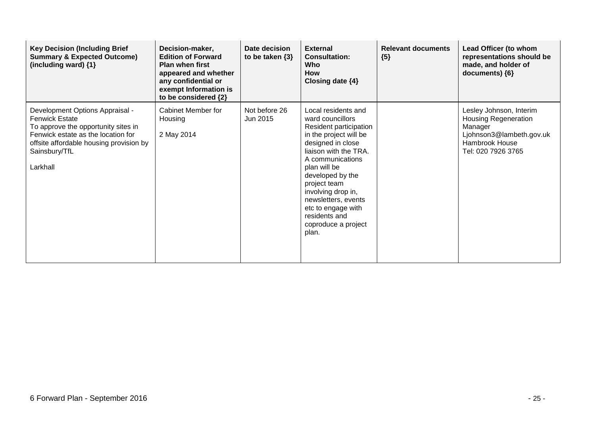| <b>Key Decision (Including Brief</b><br><b>Summary &amp; Expected Outcome)</b><br>(including ward) {1}                                                                                                        | Decision-maker,<br><b>Edition of Forward</b><br>Plan when first<br>appeared and whether<br>any confidential or<br>exempt Information is<br>to be considered {2} | Date decision<br>to be taken $\{3\}$ | <b>External</b><br><b>Consultation:</b><br>Who<br><b>How</b><br>Closing date {4}                                                                                                                                                                                                                                                      | <b>Relevant documents</b><br>${5}$ | Lead Officer (to whom<br>representations should be<br>made, and holder of<br>documents) {6}                                           |
|---------------------------------------------------------------------------------------------------------------------------------------------------------------------------------------------------------------|-----------------------------------------------------------------------------------------------------------------------------------------------------------------|--------------------------------------|---------------------------------------------------------------------------------------------------------------------------------------------------------------------------------------------------------------------------------------------------------------------------------------------------------------------------------------|------------------------------------|---------------------------------------------------------------------------------------------------------------------------------------|
| Development Options Appraisal -<br><b>Fenwick Estate</b><br>To approve the opportunity sites in<br>Fenwick estate as the location for<br>offsite affordable housing provision by<br>Sainsbury/TfL<br>Larkhall | Cabinet Member for<br>Housing<br>2 May 2014                                                                                                                     | Not before 26<br>Jun 2015            | Local residents and<br>ward councillors<br>Resident participation<br>in the project will be<br>designed in close<br>liaison with the TRA.<br>A communications<br>plan will be<br>developed by the<br>project team<br>involving drop in,<br>newsletters, events<br>etc to engage with<br>residents and<br>coproduce a project<br>plan. |                                    | Lesley Johnson, Interim<br><b>Housing Regeneration</b><br>Manager<br>Ljohnson3@lambeth.gov.uk<br>Hambrook House<br>Tel: 020 7926 3765 |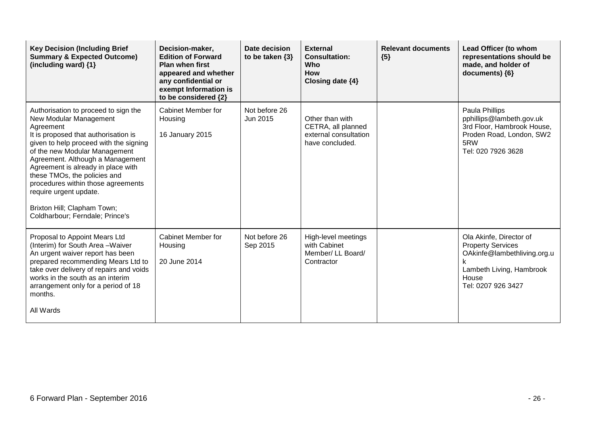| <b>Key Decision (Including Brief</b><br><b>Summary &amp; Expected Outcome)</b><br>(including ward) {1}                                                                                                                                                                                                                                                                                                                                     | Decision-maker,<br><b>Edition of Forward</b><br><b>Plan when first</b><br>appeared and whether<br>any confidential or<br>exempt Information is<br>to be considered {2} | Date decision<br>to be taken $\{3\}$ | <b>External</b><br><b>Consultation:</b><br>Who<br><b>How</b><br>Closing date {4}  | <b>Relevant documents</b><br>${5}$ | Lead Officer (to whom<br>representations should be<br>made, and holder of<br>documents) {6}                                                   |
|--------------------------------------------------------------------------------------------------------------------------------------------------------------------------------------------------------------------------------------------------------------------------------------------------------------------------------------------------------------------------------------------------------------------------------------------|------------------------------------------------------------------------------------------------------------------------------------------------------------------------|--------------------------------------|-----------------------------------------------------------------------------------|------------------------------------|-----------------------------------------------------------------------------------------------------------------------------------------------|
| Authorisation to proceed to sign the<br>New Modular Management<br>Agreement<br>It is proposed that authorisation is<br>given to help proceed with the signing<br>of the new Modular Management<br>Agreement. Although a Management<br>Agreement is already in place with<br>these TMOs, the policies and<br>procedures within those agreements<br>require urgent update.<br>Brixton Hill; Clapham Town;<br>Coldharbour; Ferndale; Prince's | Cabinet Member for<br>Housing<br>16 January 2015                                                                                                                       | Not before 26<br>Jun 2015            | Other than with<br>CETRA, all planned<br>external consultation<br>have concluded. |                                    | Paula Phillips<br>pphillips@lambeth.gov.uk<br>3rd Floor, Hambrook House,<br>Proden Road, London, SW2<br>5RW<br>Tel: 020 7926 3628             |
| Proposal to Appoint Mears Ltd<br>(Interim) for South Area - Waiver<br>An urgent waiver report has been<br>prepared recommending Mears Ltd to<br>take over delivery of repairs and voids<br>works in the south as an interim<br>arrangement only for a period of 18<br>months.<br>All Wards                                                                                                                                                 | Cabinet Member for<br>Housing<br>20 June 2014                                                                                                                          | Not before 26<br>Sep 2015            | High-level meetings<br>with Cabinet<br>Member/ LL Board/<br>Contractor            |                                    | Ola Akinfe, Director of<br><b>Property Services</b><br>OAkinfe@lambethliving.org.u<br>Lambeth Living, Hambrook<br>House<br>Tel: 0207 926 3427 |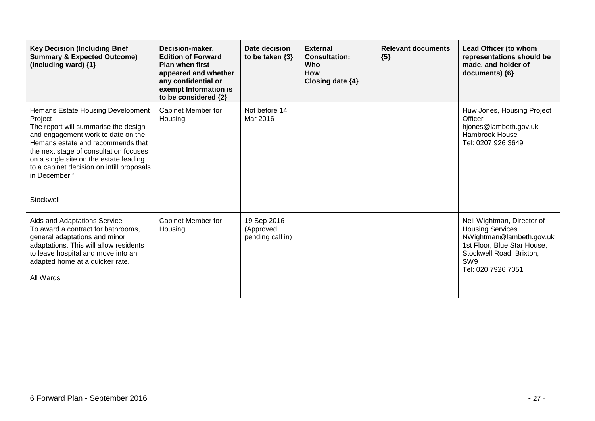| <b>Key Decision (Including Brief</b><br><b>Summary &amp; Expected Outcome)</b><br>(including ward) {1}                                                                                                                                                                                                                         | Decision-maker,<br><b>Edition of Forward</b><br><b>Plan when first</b><br>appeared and whether<br>any confidential or<br>exempt Information is<br>to be considered {2} | Date decision<br>to be taken $\{3\}$         | <b>External</b><br><b>Consultation:</b><br>Who<br><b>How</b><br>Closing date {4} | <b>Relevant documents</b><br>${5}$ | Lead Officer (to whom<br>representations should be<br>made, and holder of<br>documents) {6}                                                                                           |
|--------------------------------------------------------------------------------------------------------------------------------------------------------------------------------------------------------------------------------------------------------------------------------------------------------------------------------|------------------------------------------------------------------------------------------------------------------------------------------------------------------------|----------------------------------------------|----------------------------------------------------------------------------------|------------------------------------|---------------------------------------------------------------------------------------------------------------------------------------------------------------------------------------|
| Hemans Estate Housing Development<br>Project<br>The report will summarise the design<br>and engagement work to date on the<br>Hemans estate and recommends that<br>the next stage of consultation focuses<br>on a single site on the estate leading<br>to a cabinet decision on infill proposals<br>in December."<br>Stockwell | Cabinet Member for<br>Housing                                                                                                                                          | Not before 14<br>Mar 2016                    |                                                                                  |                                    | Huw Jones, Housing Project<br>Officer<br>hjones@lambeth.gov.uk<br>Hambrook House<br>Tel: 0207 926 3649                                                                                |
| Aids and Adaptations Service<br>To award a contract for bathrooms,<br>general adaptations and minor<br>adaptations. This will allow residents<br>to leave hospital and move into an<br>adapted home at a quicker rate.<br>All Wards                                                                                            | <b>Cabinet Member for</b><br>Housing                                                                                                                                   | 19 Sep 2016<br>(Approved<br>pending call in) |                                                                                  |                                    | Neil Wightman, Director of<br><b>Housing Services</b><br>NWightman@lambeth.gov.uk<br>1st Floor, Blue Star House,<br>Stockwell Road, Brixton,<br>SW <sub>9</sub><br>Tel: 020 7926 7051 |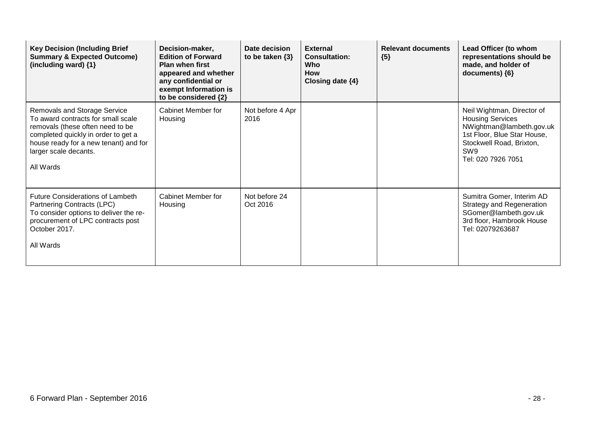| <b>Key Decision (Including Brief</b><br><b>Summary &amp; Expected Outcome)</b><br>(including ward) {1}                                                                                                                              | Decision-maker,<br><b>Edition of Forward</b><br><b>Plan when first</b><br>appeared and whether<br>any confidential or<br>exempt Information is<br>to be considered {2} | Date decision<br>to be taken $\{3\}$ | <b>External</b><br><b>Consultation:</b><br><b>Who</b><br><b>How</b><br>Closing date $\{4\}$ | <b>Relevant documents</b><br>${5}$ | Lead Officer (to whom<br>representations should be<br>made, and holder of<br>documents) ${6}$                                                                             |
|-------------------------------------------------------------------------------------------------------------------------------------------------------------------------------------------------------------------------------------|------------------------------------------------------------------------------------------------------------------------------------------------------------------------|--------------------------------------|---------------------------------------------------------------------------------------------|------------------------------------|---------------------------------------------------------------------------------------------------------------------------------------------------------------------------|
| <b>Removals and Storage Service</b><br>To award contracts for small scale<br>removals (these often need to be<br>completed quickly in order to get a<br>house ready for a new tenant) and for<br>larger scale decants.<br>All Wards | Cabinet Member for<br>Housing                                                                                                                                          | Not before 4 Apr<br>2016             |                                                                                             |                                    | Neil Wightman, Director of<br><b>Housing Services</b><br>NWightman@lambeth.gov.uk<br>1st Floor, Blue Star House,<br>Stockwell Road, Brixton,<br>SW9<br>Tel: 020 7926 7051 |
| <b>Future Considerations of Lambeth</b><br>Partnering Contracts (LPC)<br>To consider options to deliver the re-<br>procurement of LPC contracts post<br>October 2017.<br>All Wards                                                  | Cabinet Member for<br>Housing                                                                                                                                          | Not before 24<br>Oct 2016            |                                                                                             |                                    | Sumitra Gomer, Interim AD<br><b>Strategy and Regeneration</b><br>SGomer@lambeth.gov.uk<br>3rd floor, Hambrook House<br>Tel: 02079263687                                   |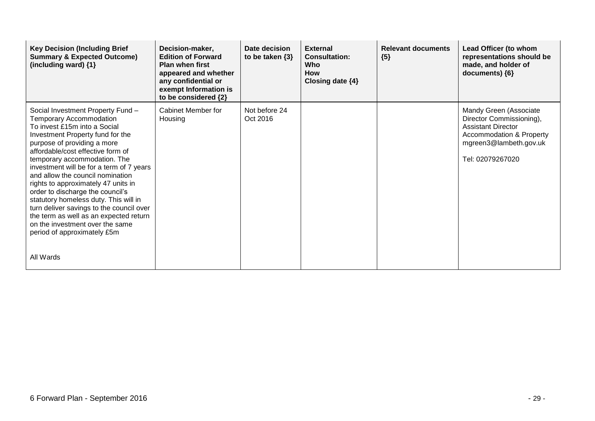| <b>Key Decision (Including Brief</b><br><b>Summary &amp; Expected Outcome)</b><br>(including ward) {1}                                                                                                                                                                                                                                                                                                                                                                                                                                                                                                               | Decision-maker,<br><b>Edition of Forward</b><br><b>Plan when first</b><br>appeared and whether<br>any confidential or<br>exempt Information is<br>to be considered {2} | <b>Date decision</b><br>to be taken $\{3\}$ | <b>External</b><br><b>Consultation:</b><br>Who<br><b>How</b><br>Closing date $\{4\}$ | <b>Relevant documents</b><br>${5}$ | Lead Officer (to whom<br>representations should be<br>made, and holder of<br>documents) ${6}$                                                                        |
|----------------------------------------------------------------------------------------------------------------------------------------------------------------------------------------------------------------------------------------------------------------------------------------------------------------------------------------------------------------------------------------------------------------------------------------------------------------------------------------------------------------------------------------------------------------------------------------------------------------------|------------------------------------------------------------------------------------------------------------------------------------------------------------------------|---------------------------------------------|--------------------------------------------------------------------------------------|------------------------------------|----------------------------------------------------------------------------------------------------------------------------------------------------------------------|
| Social Investment Property Fund -<br><b>Temporary Accommodation</b><br>To invest £15m into a Social<br>Investment Property fund for the<br>purpose of providing a more<br>affordable/cost effective form of<br>temporary accommodation. The<br>investment will be for a term of 7 years<br>and allow the council nomination<br>rights to approximately 47 units in<br>order to discharge the council's<br>statutory homeless duty. This will in<br>turn deliver savings to the council over<br>the term as well as an expected return<br>on the investment over the same<br>period of approximately £5m<br>All Wards | Cabinet Member for<br>Housing                                                                                                                                          | Not before 24<br>Oct 2016                   |                                                                                      |                                    | Mandy Green (Associate<br>Director Commissioning),<br><b>Assistant Director</b><br><b>Accommodation &amp; Property</b><br>mgreen3@lambeth.gov.uk<br>Tel: 02079267020 |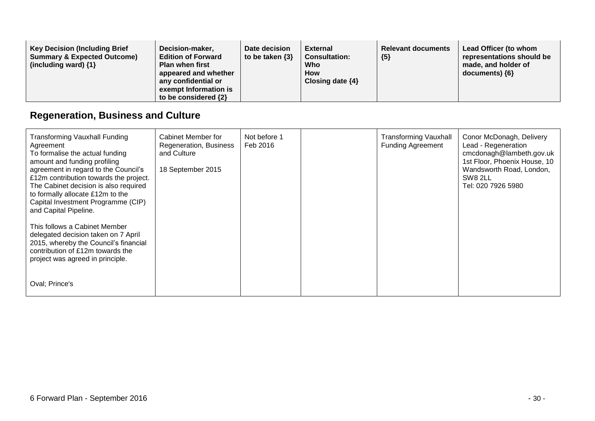| <b>Key Decision (Including Brief)</b><br>Decision-maker,<br><b>Summary &amp; Expected Outcome)</b><br><b>Edition of Forward</b><br><b>Plan when first</b><br>(including ward) $\{1\}$<br>appeared and whether<br>any confidential or<br>exempt Information is<br>to be considered {2} | Date decision<br>to be taken $\{3\}$ | <b>External</b><br><b>Consultation:</b><br>Who<br><b>How</b><br>Closing date $\{4\}$ | <b>Relevant documents</b><br>${5}$ | Lead Officer (to whom<br>representations should be<br>made, and holder of<br>$documents)$ {6} |
|---------------------------------------------------------------------------------------------------------------------------------------------------------------------------------------------------------------------------------------------------------------------------------------|--------------------------------------|--------------------------------------------------------------------------------------|------------------------------------|-----------------------------------------------------------------------------------------------|
|---------------------------------------------------------------------------------------------------------------------------------------------------------------------------------------------------------------------------------------------------------------------------------------|--------------------------------------|--------------------------------------------------------------------------------------|------------------------------------|-----------------------------------------------------------------------------------------------|

## **Regeneration, Business and Culture**

| <b>Transforming Vauxhall Funding</b><br>Agreement<br>To formalise the actual funding<br>amount and funding profiling<br>agreement in regard to the Council's<br>£12m contribution towards the project.<br>The Cabinet decision is also required<br>to formally allocate £12m to the<br>Capital Investment Programme (CIP)<br>and Capital Pipeline. | Cabinet Member for<br>Regeneration, Business<br>and Culture<br>18 September 2015 | Not before 1<br>Feb 2016 | <b>Transforming Vauxhall</b><br><b>Funding Agreement</b> | Conor McDonagh, Delivery<br>Lead - Regeneration<br>cmcdonagh@lambeth.gov.uk<br>1st Floor, Phoenix House, 10<br>Wandsworth Road, London,<br>SW8 2LL<br>Tel: 020 7926 5980 |
|----------------------------------------------------------------------------------------------------------------------------------------------------------------------------------------------------------------------------------------------------------------------------------------------------------------------------------------------------|----------------------------------------------------------------------------------|--------------------------|----------------------------------------------------------|--------------------------------------------------------------------------------------------------------------------------------------------------------------------------|
| This follows a Cabinet Member<br>delegated decision taken on 7 April<br>2015, whereby the Council's financial<br>contribution of £12m towards the<br>project was agreed in principle.                                                                                                                                                              |                                                                                  |                          |                                                          |                                                                                                                                                                          |
| Oval; Prince's                                                                                                                                                                                                                                                                                                                                     |                                                                                  |                          |                                                          |                                                                                                                                                                          |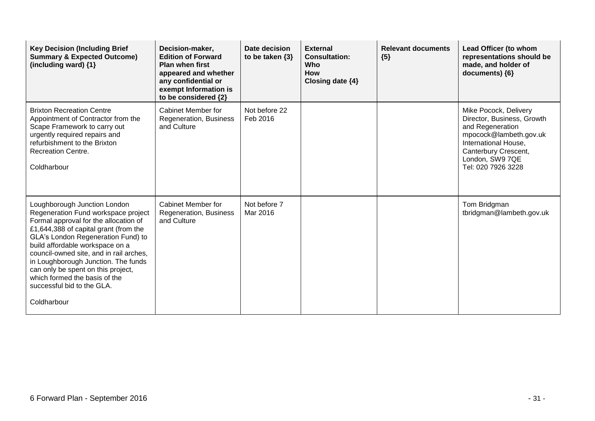| <b>Key Decision (Including Brief</b><br><b>Summary &amp; Expected Outcome)</b><br>(including ward) {1}                                                                                                                                                                                                                                                                                                                               | Decision-maker,<br><b>Edition of Forward</b><br><b>Plan when first</b><br>appeared and whether<br>any confidential or<br>exempt Information is<br>to be considered {2} | Date decision<br>to be taken $\{3\}$ | <b>External</b><br><b>Consultation:</b><br><b>Who</b><br><b>How</b><br>Closing date {4} | <b>Relevant documents</b><br>${5}$ | Lead Officer (to whom<br>representations should be<br>made, and holder of<br>documents) {6}                                                                                                |
|--------------------------------------------------------------------------------------------------------------------------------------------------------------------------------------------------------------------------------------------------------------------------------------------------------------------------------------------------------------------------------------------------------------------------------------|------------------------------------------------------------------------------------------------------------------------------------------------------------------------|--------------------------------------|-----------------------------------------------------------------------------------------|------------------------------------|--------------------------------------------------------------------------------------------------------------------------------------------------------------------------------------------|
| <b>Brixton Recreation Centre</b><br>Appointment of Contractor from the<br>Scape Framework to carry out<br>urgently required repairs and<br>refurbishment to the Brixton<br><b>Recreation Centre.</b><br>Coldharbour                                                                                                                                                                                                                  | Cabinet Member for<br>Regeneration, Business<br>and Culture                                                                                                            | Not before 22<br>Feb 2016            |                                                                                         |                                    | Mike Pocock, Delivery<br>Director, Business, Growth<br>and Regeneration<br>mpocock@lambeth.gov.uk<br>International House,<br>Canterbury Crescent,<br>London, SW9 7QE<br>Tel: 020 7926 3228 |
| Loughborough Junction London<br>Regeneration Fund workspace project<br>Formal approval for the allocation of<br>£1,644,388 of capital grant (from the<br>GLA's London Regeneration Fund) to<br>build affordable workspace on a<br>council-owned site, and in rail arches,<br>in Loughborough Junction. The funds<br>can only be spent on this project,<br>which formed the basis of the<br>successful bid to the GLA.<br>Coldharbour | <b>Cabinet Member for</b><br>Regeneration, Business<br>and Culture                                                                                                     | Not before 7<br>Mar 2016             |                                                                                         |                                    | Tom Bridgman<br>tbridgman@lambeth.gov.uk                                                                                                                                                   |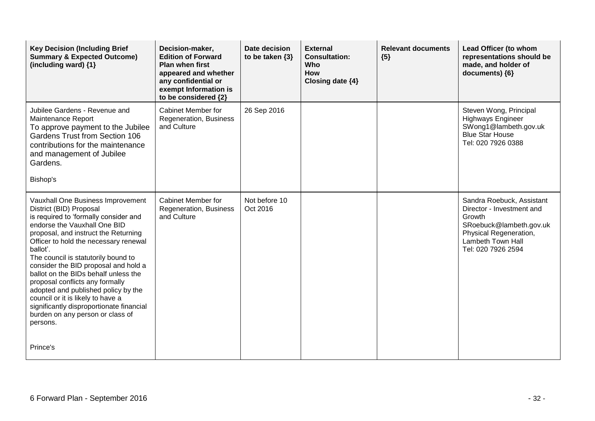| <b>Key Decision (Including Brief</b><br><b>Summary &amp; Expected Outcome)</b><br>(including ward) {1}                                                                                                                                                                                                                                                                                                                                                                                                                                                               | Decision-maker,<br><b>Edition of Forward</b><br><b>Plan when first</b><br>appeared and whether<br>any confidential or<br>exempt Information is<br>to be considered {2} | Date decision<br>to be taken $\{3\}$ | <b>External</b><br><b>Consultation:</b><br><b>Who</b><br><b>How</b><br>Closing date {4} | <b>Relevant documents</b><br>${5}$ | Lead Officer (to whom<br>representations should be<br>made, and holder of<br>documents) {6}                                                                      |
|----------------------------------------------------------------------------------------------------------------------------------------------------------------------------------------------------------------------------------------------------------------------------------------------------------------------------------------------------------------------------------------------------------------------------------------------------------------------------------------------------------------------------------------------------------------------|------------------------------------------------------------------------------------------------------------------------------------------------------------------------|--------------------------------------|-----------------------------------------------------------------------------------------|------------------------------------|------------------------------------------------------------------------------------------------------------------------------------------------------------------|
| Jubilee Gardens - Revenue and<br>Maintenance Report<br>To approve payment to the Jubilee<br><b>Gardens Trust from Section 106</b><br>contributions for the maintenance<br>and management of Jubilee<br>Gardens.<br>Bishop's                                                                                                                                                                                                                                                                                                                                          | Cabinet Member for<br>Regeneration, Business<br>and Culture                                                                                                            | 26 Sep 2016                          |                                                                                         |                                    | Steven Wong, Principal<br><b>Highways Engineer</b><br>SWong1@lambeth.gov.uk<br><b>Blue Star House</b><br>Tel: 020 7926 0388                                      |
| Vauxhall One Business Improvement<br>District (BID) Proposal<br>is required to 'formally consider and<br>endorse the Vauxhall One BID<br>proposal, and instruct the Returning<br>Officer to hold the necessary renewal<br>ballot'.<br>The council is statutorily bound to<br>consider the BID proposal and hold a<br>ballot on the BIDs behalf unless the<br>proposal conflicts any formally<br>adopted and published policy by the<br>council or it is likely to have a<br>significantly disproportionate financial<br>burden on any person or class of<br>persons. | Cabinet Member for<br>Regeneration, Business<br>and Culture                                                                                                            | Not before 10<br>Oct 2016            |                                                                                         |                                    | Sandra Roebuck, Assistant<br>Director - Investment and<br>Growth<br>SRoebuck@lambeth.gov.uk<br>Physical Regeneration,<br>Lambeth Town Hall<br>Tel: 020 7926 2594 |
| Prince's                                                                                                                                                                                                                                                                                                                                                                                                                                                                                                                                                             |                                                                                                                                                                        |                                      |                                                                                         |                                    |                                                                                                                                                                  |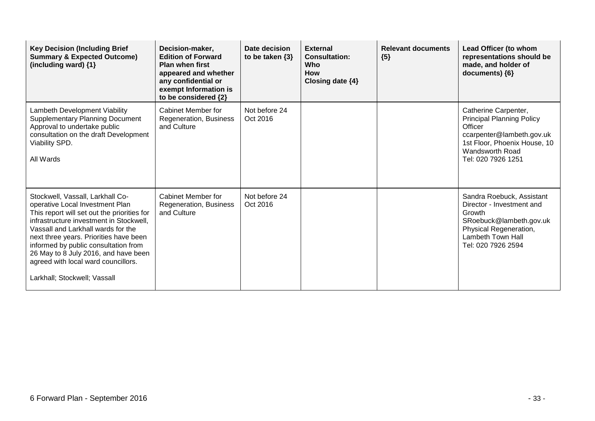| <b>Key Decision (Including Brief</b><br><b>Summary &amp; Expected Outcome)</b><br>(including ward) {1}                                                                                                                                                                                                                                                                                               | Decision-maker,<br><b>Edition of Forward</b><br><b>Plan when first</b><br>appeared and whether<br>any confidential or<br>exempt Information is<br>to be considered {2} | Date decision<br>to be taken $\{3\}$ | <b>External</b><br><b>Consultation:</b><br><b>Who</b><br><b>How</b><br>Closing date {4} | <b>Relevant documents</b><br>${5}$ | Lead Officer (to whom<br>representations should be<br>made, and holder of<br>documents) ${6}$                                                                             |
|------------------------------------------------------------------------------------------------------------------------------------------------------------------------------------------------------------------------------------------------------------------------------------------------------------------------------------------------------------------------------------------------------|------------------------------------------------------------------------------------------------------------------------------------------------------------------------|--------------------------------------|-----------------------------------------------------------------------------------------|------------------------------------|---------------------------------------------------------------------------------------------------------------------------------------------------------------------------|
| Lambeth Development Viability<br><b>Supplementary Planning Document</b><br>Approval to undertake public<br>consultation on the draft Development<br>Viability SPD.<br>All Wards                                                                                                                                                                                                                      | Cabinet Member for<br>Regeneration, Business<br>and Culture                                                                                                            | Not before 24<br>Oct 2016            |                                                                                         |                                    | Catherine Carpenter,<br><b>Principal Planning Policy</b><br>Officer<br>ccarpenter@lambeth.gov.uk<br>1st Floor, Phoenix House, 10<br>Wandsworth Road<br>Tel: 020 7926 1251 |
| Stockwell, Vassall, Larkhall Co-<br>operative Local Investment Plan<br>This report will set out the priorities for<br>infrastructure investment in Stockwell.<br>Vassall and Larkhall wards for the<br>next three years. Priorities have been<br>informed by public consultation from<br>26 May to 8 July 2016, and have been<br>agreed with local ward councillors.<br>Larkhall; Stockwell; Vassall | Cabinet Member for<br>Regeneration, Business<br>and Culture                                                                                                            | Not before 24<br>Oct 2016            |                                                                                         |                                    | Sandra Roebuck, Assistant<br>Director - Investment and<br>Growth<br>SRoebuck@lambeth.gov.uk<br>Physical Regeneration,<br>Lambeth Town Hall<br>Tel: 020 7926 2594          |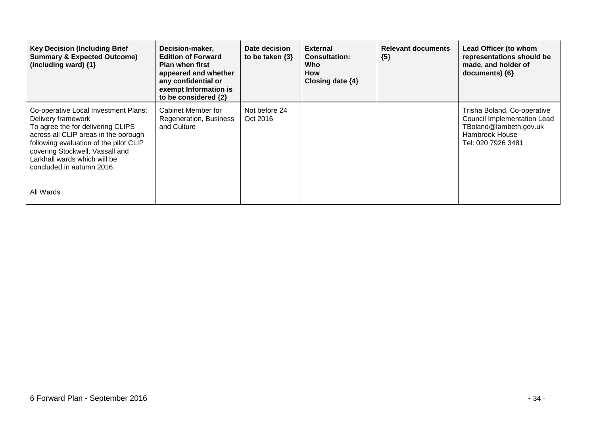| <b>Key Decision (Including Brief</b><br><b>Summary &amp; Expected Outcome)</b><br>(including ward) {1}                                                                                                                                                                            | Decision-maker,<br><b>Edition of Forward</b><br><b>Plan when first</b><br>appeared and whether<br>any confidential or<br>exempt Information is<br>to be considered {2} | Date decision<br>to be taken $\{3\}$ | <b>External</b><br><b>Consultation:</b><br>Who<br><b>How</b><br>Closing date $\{4\}$ | <b>Relevant documents</b><br>${5}$ | Lead Officer (to whom<br>representations should be<br>made, and holder of<br>documents) ${6}$                                       |
|-----------------------------------------------------------------------------------------------------------------------------------------------------------------------------------------------------------------------------------------------------------------------------------|------------------------------------------------------------------------------------------------------------------------------------------------------------------------|--------------------------------------|--------------------------------------------------------------------------------------|------------------------------------|-------------------------------------------------------------------------------------------------------------------------------------|
| Co-operative Local Investment Plans:<br>Delivery framework<br>To agree the for delivering CLIPS<br>across all CLIP areas in the borough<br>following evaluation of the pilot CLIP<br>covering Stockwell, Vassall and<br>Larkhall wards which will be<br>concluded in autumn 2016. | Cabinet Member for<br>Regeneration, Business<br>and Culture                                                                                                            | Not before 24<br>Oct 2016            |                                                                                      |                                    | Trisha Boland, Co-operative<br><b>Council Implementation Lead</b><br>TBoland@lambeth.gov.uk<br>Hambrook House<br>Tel: 020 7926 3481 |
| All Wards                                                                                                                                                                                                                                                                         |                                                                                                                                                                        |                                      |                                                                                      |                                    |                                                                                                                                     |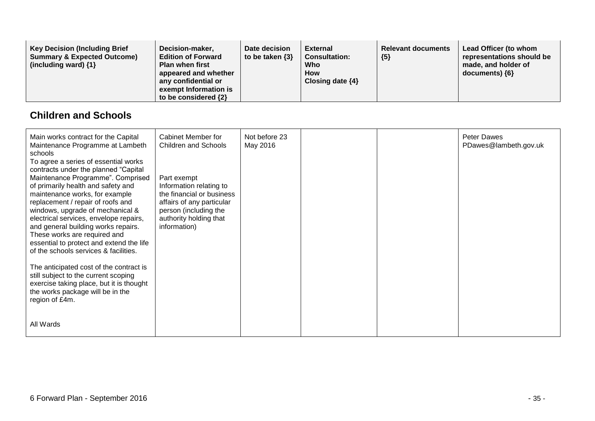| <b>Key Decision (Including Brief)</b><br>Decision-maker,<br><b>Summary &amp; Expected Outcome)</b><br><b>Edition of Forward</b><br>(including ward) $\{1\}$<br><b>Plan when first</b><br>appeared and whether<br>any confidential or<br>exempt Information is<br>to be considered {2} | Date decision<br><b>External</b><br>to be taken $\{3\}$<br><b>Consultation:</b><br>Who<br><b>How</b><br>Closing date $\{4\}$ | <b>Relevant documents</b><br>${5}$ | Lead Officer (to whom<br>representations should be<br>made, and holder of<br>$documents)$ {6} |
|---------------------------------------------------------------------------------------------------------------------------------------------------------------------------------------------------------------------------------------------------------------------------------------|------------------------------------------------------------------------------------------------------------------------------|------------------------------------|-----------------------------------------------------------------------------------------------|
|---------------------------------------------------------------------------------------------------------------------------------------------------------------------------------------------------------------------------------------------------------------------------------------|------------------------------------------------------------------------------------------------------------------------------|------------------------------------|-----------------------------------------------------------------------------------------------|

#### **Children and Schools**

| Main works contract for the Capital<br>Maintenance Programme at Lambeth<br>schools                                                                                                                                                                                                                                                                                                                                                                                       | Cabinet Member for<br>Children and Schools                                                                                                                          | Not before 23<br>May 2016 |  | <b>Peter Dawes</b><br>PDawes@lambeth.gov.uk |
|--------------------------------------------------------------------------------------------------------------------------------------------------------------------------------------------------------------------------------------------------------------------------------------------------------------------------------------------------------------------------------------------------------------------------------------------------------------------------|---------------------------------------------------------------------------------------------------------------------------------------------------------------------|---------------------------|--|---------------------------------------------|
| To agree a series of essential works<br>contracts under the planned "Capital<br>Maintenance Programme". Comprised<br>of primarily health and safety and<br>maintenance works, for example<br>replacement / repair of roofs and<br>windows, upgrade of mechanical &<br>electrical services, envelope repairs,<br>and general building works repairs.<br>These works are required and<br>essential to protect and extend the life<br>of the schools services & facilities. | Part exempt<br>Information relating to<br>the financial or business<br>affairs of any particular<br>person (including the<br>authority holding that<br>information) |                           |  |                                             |
| The anticipated cost of the contract is<br>still subject to the current scoping<br>exercise taking place, but it is thought<br>the works package will be in the<br>region of £4m.                                                                                                                                                                                                                                                                                        |                                                                                                                                                                     |                           |  |                                             |
| All Wards                                                                                                                                                                                                                                                                                                                                                                                                                                                                |                                                                                                                                                                     |                           |  |                                             |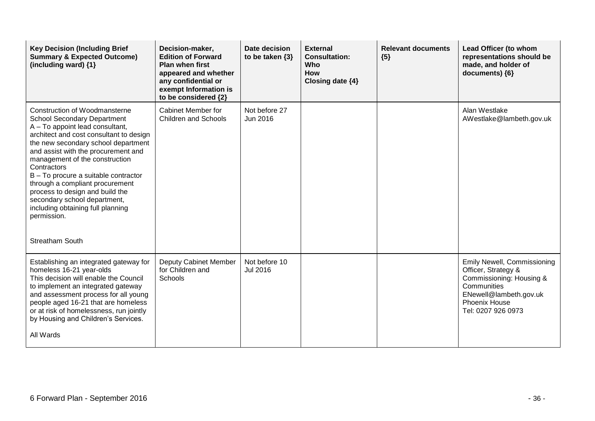| <b>Key Decision (Including Brief</b><br><b>Summary &amp; Expected Outcome)</b><br>(including ward) $\{1\}$                                                                                                                                                                                                                                                                                                                                                                                                          | Decision-maker,<br><b>Edition of Forward</b><br><b>Plan when first</b><br>appeared and whether<br>any confidential or<br>exempt Information is<br>to be considered {2} | Date decision<br>to be taken $\{3\}$ | <b>External</b><br><b>Consultation:</b><br>Who<br>How<br>Closing date $\{4\}$ | <b>Relevant documents</b><br>${5}$ | Lead Officer (to whom<br>representations should be<br>made, and holder of<br>documents) {6}                                                                                  |
|---------------------------------------------------------------------------------------------------------------------------------------------------------------------------------------------------------------------------------------------------------------------------------------------------------------------------------------------------------------------------------------------------------------------------------------------------------------------------------------------------------------------|------------------------------------------------------------------------------------------------------------------------------------------------------------------------|--------------------------------------|-------------------------------------------------------------------------------|------------------------------------|------------------------------------------------------------------------------------------------------------------------------------------------------------------------------|
| <b>Construction of Woodmansterne</b><br><b>School Secondary Department</b><br>A - To appoint lead consultant,<br>architect and cost consultant to design<br>the new secondary school department<br>and assist with the procurement and<br>management of the construction<br>Contractors<br>B - To procure a suitable contractor<br>through a compliant procurement<br>process to design and build the<br>secondary school department,<br>including obtaining full planning<br>permission.<br><b>Streatham South</b> | <b>Cabinet Member for</b><br><b>Children and Schools</b>                                                                                                               | Not before 27<br>Jun 2016            |                                                                               |                                    | Alan Westlake<br>AWestlake@lambeth.gov.uk                                                                                                                                    |
| Establishing an integrated gateway for<br>homeless 16-21 year-olds<br>This decision will enable the Council<br>to implement an integrated gateway<br>and assessment process for all young<br>people aged 16-21 that are homeless<br>or at risk of homelessness, run jointly<br>by Housing and Children's Services.<br>All Wards                                                                                                                                                                                     | Deputy Cabinet Member<br>for Children and<br><b>Schools</b>                                                                                                            | Not before 10<br>Jul 2016            |                                                                               |                                    | <b>Emily Newell, Commissioning</b><br>Officer, Strategy &<br>Commissioning: Housing &<br>Communities<br>ENewell@lambeth.gov.uk<br><b>Phoenix House</b><br>Tel: 0207 926 0973 |